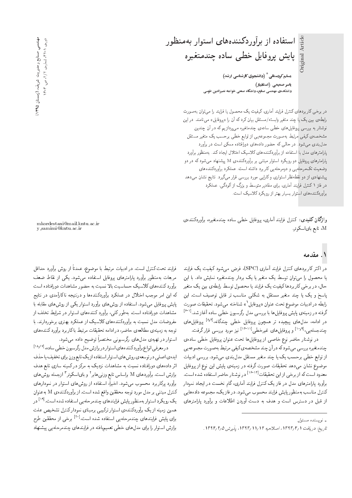یاسر صمیمی (استادیار*)* دانشکدهی مهندسی صنایع، دانشگاه صنعتی خواجه نصیرالدین طوسی

در برخی کاربردهای کنترل فرایند آماری، کیفیت یک محصول یا فرایند را می;توان بهصورت رابطهى بين يك يا چند متغير وابسته /مستقل بيان كرد كه آن را «پروفايل» مى نامند. در اين نوشتار به بررسی پروفایل های خطی سادهی چندمتغیره می پردازیم که در آن چندین مشخصهى كيفي مرتبط بهصورت مجموعهيى از توابع خطى برحسب يك متغير مستقل مدل بندی می شود. در حالی که حضور دادههای دورافتاده ممکن است در برآورد یا رامترهای مدل با استفاده از برآوردکنندههای کلاسیک اختلال ایجاد کند. بهمنظور برآورد پارامترهای پروفایل دو رویکرد استوار مبتنبی بر برآوردکنندهی M پیشنهاد می شود که در دو وضعیت تک مرحله یی و دومرحلهیی کاربرد داشته است. عملکرد برآوردکنندههای پیشنهادی از دو نقطه نظر استواری و کارایی مورد بررسی قرار میگیرد. نتایج نشان می دهد در فاز ۱ کنترل فرایند آماری، برای مقادیر متوسط و بزرگ از آلودگی، عملکرد برآوردکننده های استوار بسیار بهتر از رویکرد کلاسیک است.

واژگان كليدى: كنترل فرايند آمارى، پروفايل خطى ساده چندمتغيره، برأوردكنندهى M، تابع بای|سکوئر.

mkordestani@mail.kntu.ac.ir y samimi@kntu.ac.ir

# ۱. مقدمه

Original Article

Original Article

در اکثر کاربردهای کنترل فرایند آماری (SPC)، فرض می شود کیفیت یک فرایند یا محصول را می توان توسط یک متغیر یا یک بردار چندمتغیره نمایش داد. با این حال، در برخی کاربردها کیفیت یک فرایند یا محصول توسط رابطهی بین یک متغیر پاسخ و یک یا چند متغیر مستقل به شکلی مناسب تر قابل توصیف است. این رابطه در ادبیات موضوع تحت عنوان «بروفایل`» شناخته می شود. تحقیقات صورت گرفته در زمینهءی پایش پروفایل ها با بررسمی مدل رگرسیون خطبی ساده آغاز شد.<sup>[[۶]</sup><br>مطالعه استفاده استفاده است. در ادامه، مدل۵ای پیچیده تر همچون پروفایل خطی چندگانه،ا<sup>۷۷۱</sup> پروفایل۵ای<br>میسمای افغ<sup>و</sup>الی دارایا میساید و الاتقالید چندجملهیبی<sup>19و۱۱</sup> و پروفایل های غیرخطی<sup>۱۲۴-۱۱</sup> نیز مورد بررسی قرارگرفت.<br>مورد است

در نوشتار حاضر نوع خاصی از پروفایل ها تحت عنوان پروفایل خطی سادهی چندمتغیره بررسی می شودکه در آن چند مشخصه ی کیفی مرتبط به صورت مجموعه یی از توابع خطی برحسب یک یا چند متغیر مستقل مدل بندی می شود. بررسی ادبیات موضوع نشان مى،دهد تحقيقات صورت گرفته در زمينهى پايش اين نوع از پروفايل معدود است که از برخی از این تحقیقات<sup>[۱۶</sup>-۱<sup>۱۶]</sup> در نوشتار حاضر استفاده شده است. برآورد پارامترهای مدل در فاز یک کنترل فرایند آماری، گام نخست در ایجاد نمودار كنترل مناسب بهمنظور پايش فرايند محسوب مىشود. در فاز يک، مجموعه دادههايى از قبل در دسترس است و هدف به دست آوردن اطلاعات و برآورد پارامترهای

فرايند تحت كنترل است. در ادبيات مرتبط با موضوع، عمدتاً از روش برآورد حداقل مربعات بهمنظور برأورد بارامترهاى بروفايل استفاده مى شود. يكي از نقاط ضعف برآورد کنندههای کلاسیک حساسیت بالا نسبت به حضور مشاهدات دورافتاده است که این امر موجب اختلال در عملکرد برآوردکنندهها و درنتیجه ناکارآمدی در نتایج پایش پروفایل می شود. استفاده از روش های برآورد استوار یکی از روش های مقابله با مشاهدات دورافتاده است. بهطورکلبی، برآورد کنندههای استوار در شرایط تخلف از مفروضات مدل نسبت به برآوردكنندههاى كلاسيك از عملكرد بهترى برخوردارند. با توجه به زمینهی مطالعهی حاضر، در ادامه تحقیقات مرتبط با کاربرد برآورد کنندههای استوار در تهیهی مدل های رگرسیونی مختصرا توضیح داده می شود.<br>استوار در اسلسانی

د رمعرفی انواع برآورد کننده های استوار در برازش مدل رگرسیون خطی ساده، <sup>۱۸٬۱۷۱</sup><br>پایان میسین به سیاست این موارد استان این موارد میشوند و با میشوند و با میشوند ايدهي اصلبي در توسعهي روش هاي استوار استفاده از يك تابع وزن براي تخفيف يا حذف اثر دادههای دورافتاده نسبت به مشاهدات نزدیک به مرکز درکمینه سازی تابع هدف برازش است. براوردهای M براساس تابع وزنی هابر' و بای اسکوئر' ازجمله روش های<br>تم برآورد پرکاربرد محسوب مىشود. اخيراً، استفاده از روش هاى استوار در نمودارهاى كنترل مبتنى بر مدل مورد توجه محققين واقع شده است. از برآوردكننده ي M به عنوان QO [19] "CU= xOW xO=iDU= |}xrLQtOvJ |=yOv}=QiV}=B Qw\_vtx@ Q=wDU=OQm}wQl} همین زمینه از یک برآوردکنندهی استوار ترکیبی برمبنای نمودار کنترل تشخیص علت برای پایش فرایندهای چندمرحله یی استفاده شده است.<sup>۲۰۱</sup> برخی از محققین طرح<br>باید با برای ایران میلیار میلیارد و باید برازش استوار را برای مدل های خطی تعمیم یافته در فرایندهای چندمرحله یی پیشنهاد

و پسنده مسئول  $\downarrow$ 

تاريخ: دريافت ١٣٩٣/٢/١٢ اراحيه ١٣٩٣/٢/٢ ار١٣٩٣. پذيرش ١٣٩٢/٢/٥.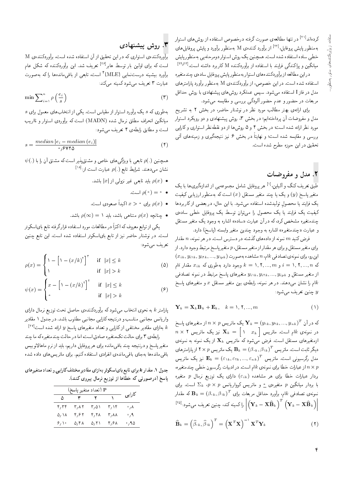کردهاند<sup>۲۱۱</sup> در تنها مطالعه ی صورت گرفته درخصوص استفاده از روش های استوار<br>منابع استفاده استان ایران استفاده برای استفاده از آن با با با با استفاده بهمنظور پایش پروفایل<sup>[۲۲]</sup> از برآوردکننده،ی M بهمنظور برآورد و پایش پروفایل های<br>مطالعه خطی ساده استفاده شده است. همچنین یک روش استوار دومرحلهیی بهمنظور پایش میانگین و پراکندگی فرایند با استفاده از برآوردکننده M کاربرد داشته است.<sup>[۲۴٫۲۳]</sup><br>میانگین و بازار با مقدم

دراين مطالعه از برآوردكننده هاي استوار بهمنظور يايش يروفايل سادهي جندمتغيره |استفاده شده است. در این خصوص، از برآوردکنندهی M بهمنظور برآورد پارامترهای مدل در فاز I استفاده میشود. سپس عملکرد روش های پیشنهادی با روش حداقل مربعات در حضور و عدم حضور ألودگي بررسي و مقايسه مي شود.

برای ارائهی بهتر مطالب مورد نظر در نوشتار حاضر، در بخش ۲ به تشریح مدل و مفروضات آن پرداختهایم؛ در بخش ۳، روش پیشنهادی و دو رویکرد استوار مورد نظر ارائه شده است؛ در بخش ۴ و ۵ روشها از دو نقطه نظر استواری و کارایی بررسی و مقایسه شده است؛ و نهایتاً در بخش ۶ نیز نتیجهگیری و زمینههای آتی تحقيق در اين حوزه مطرح شده است.

# ۲. مدل و مفروضیات

طبق تعریف کنگ و آلباین<sup>[۱]</sup> هر پروفایل شامل مجموعهیی از اندازهگیریها با یک<br>منصوبات دیگری ک متغیر پاسخ (y) و یک یا چند متغیر مستقل ( $x$ ) است که بهمنظور ارزیابی کیفیت یک فرایند یا محصولِ تولیدشده استفاده میشود. با این حال، در بعضی از کاربردها<br>بر مسکن اسلامی این مصرف از این این مصرف است. كيفيت يك فرايند يا يك محصول را مى توان توسط يك پروفايل خطى سادهى چندمتغیره مشخص کرد، که در آن عبارت «ساده» اشاره به وجود یک متغیر مستقل و عبارت «چندمتغیره» اشاره به وجود چندین متغیر وابسته (پاسخ) دارد.

فرض کنید  $m$  نمونه از دادههای گذشته در دسترس است. در هر نمونه،  $n$  مقدار برای متغیر مستقل و برای هر مقدار از متغیر مستقل، p متغیر پاسخ مرتبط وجود دارد. از  $(x_{ik}, y_{i1k}, y_{i1k}, ..., y_{ipk})$ ام،  $n$  مشاهده به صورت ( $x_{ijk}$ , این که  $s_{ik}$   $x_{ik}$  که  $i = N, 7, ..., m$  مقدار  $i = 0, 7, ..., n$  مقدار نام از متغیر مستقل و  $y_{ijk}, y_{i1k}, y_{i1k}, ..., y_{ipk}$  متغیرهای پاسخ مرتبط در نمونه تصادفی ام را نشان میدهند. در هر نمونه، رابطهی بین متغیر مستقل  $x$  و متغیرهای پاسخ $k$ چنين تعريف مىشود:  $y$ 

$$
\mathbf{Y}_k = \mathbf{X}_k \mathbf{B}_k + \mathbf{E}_k, \quad k = \lambda, \lambda, ..., m
$$
 (1)

که در آن  $W_k = (y_{1k}, y_{1k}, ..., y_{nk})^T$  یک ماتریس  $n \times p$  از متغیرهای پاسخ  $n\times$  7 در نمونه $k$ ی  $k$ ام است. ماتریس  $\mathbf{X}_k = \left[ \begin{array}{cc} \chi & x_k \end{array} \right]$  در نمونه ازمتغیرهای مستقل است. فرض میشود که ماتریس  $\mathbf{X}_k$  از یک نمونه به نمونهی دیگر ثابت است. ماتریس  $\mathbf{B}_k = (\beta_{*k},\beta_{*k})^T$ یک ماتریس  $\times$  ۲ از پارامترهای  $\mathbf{F}_k = (\beta_{*k},\beta_{*k})^T$ مدل رگرسیونی است. ماتریس  $\mathbf{E}_k = (\varepsilon_{1k}, \varepsilon_{1k}, ..., \varepsilon_{nk})^T$  نیز یک ماتریس $\mathbf{E}_k = \left(\varepsilon_{1k}, \varepsilon_{2k}, ..., \varepsilon_{nk}\right)^T$ از عبارات خطا برای نمونهی kk |ست. در ادبیات رگرسیون خطی چندمتغیره، $n\times p$ بردار عبارات خطا برای هر مشاهده  $(\varepsilon_{ik})$  دارای یک توزیع نرمال p متغیره با بردار میانگین p متغیرہی <u>°</u> و ماتریس کوواریانس p × p یک است. برای<br>مصدر میں ایک مالک میان نمونهى تصادفى  $kام، برآورد حداقل مربعات براى  $\mathbf{B}_k = (\beta_{^*k},\beta_{^*k})^T$  كه مقدار $\chi^T$  ، مسلمان مربعا$ ا راکمینه کند، چنین تعریف میشود:<sup>[۲۵]</sup><br>|  $\left(\mathbf{Y}_k-\mathbf{X}\widehat{\mathbf{B}}_k\right)^T\left(\mathbf{Y}_k-\mathbf{X}\widehat{\mathbf{B}}_k\right)\bigg\vert$ 

$$
\widehat{\mathbf{B}}_k = \left(\widehat{\beta}_{k}, \widehat{\beta}_{k}\right)^T = \left(\mathbf{X}^T \mathbf{X}\right)^{-1} \mathbf{X}^T \mathbf{Y}_k \tag{1}
$$

### ۳. روش ييشنهادي

برآوردكننده ى استوارى كه در اين تحقيق از آن استفاده شده است، برآوردكنندهى M است که برای اولین بار توسط هابر<sup>[16]</sup> تعریف شد. این برآوردکننده که شکل عام<br>آ برآورد بیشینه درستنمایی (MLE) ' است، تابعی از باقی.اندهها را که بهصورت<br>سامنستان عبارت ۳ تعریف میشود کمینه میکند:

$$
\min \sum_{i=1}^{n} \rho \left(\frac{e_i}{s}\right) \tag{7}
$$

 $s$  به طوری که  $s$  یک برآورد استوار از مقیاس است. یکی از انتخابهای معمول برای میانگین انحراف مطلق نرمال شده (MADN) است که برآوردی استوار و نااریب است و مطابق رابطهی ۴ تعریف می شود:

$$
s = \frac{median |e_i - median(e_i)|}{\gamma_f \gamma \gamma \delta} \tag{f}
$$

 $\psi(.)$  همچنین (.) $\rho$  تابعی با ویژگی $\lambda$ های خاص و مشتق $\mu$ یر است که مشتق آن را با  $^{[1\lambda]}$ نشان میدهند. شرایط تابع ( )  $\rho(.)$  عبارت است از:

- و اید تابعی غیر نزولی از  $|x|$  باشد.  $\rho(x)$ 
	- $\rho(\cdot) = \cdot$   $\bullet$
- و إ $\rho(x)$  برای  $x>s$  اکیداً صعودی است.
- ا چنانچه  $\rho(x) = \rho(\infty) = \rho(x)$  متناهی باشد.

یکی از توابع معروف که اکثراً در مطالعات مورد استفاده قرارگرفته تابع بایاسکوئر است. در نوشتار حاضر نیز از تابع بای اسکوئر استفاده شده است. این تابع چنین تعريف مي شود:

$$
\rho(x) = \begin{cases} \n\lambda - \left[\lambda - \left(x/k\right)^{\tau}\right]^{\tau} & \text{if } |x| \le k \\ \n\lambda & \text{if } |x| > k \n\end{cases} \tag{2}
$$

$$
\psi(x) = \begin{cases} x - \left[1 - \left(x/k\right)^{\mathsf{T}}\right]^{\mathsf{T}} & \text{if } |x| \le k \\ \circ & \text{if } |x| > k \end{cases} \tag{\mathsf{F}}
$$

پارامتر & به نحوی انتخاب میشودکه برآوردکننده $\omega$  حاصل تحت توزیع نرمال دارای واریانس مجانبی مناسب و درنتیجه کارایی مجانبی مطلوب باشد. در جدول ۱ مقادیر  $\mathbb{R}^{|\mathbf{Y}|\mathbf{Y}|}$ بهازای مقادیر مختلفی از کارایی و تعداد متغیرهای پاسخ  $y$  ارائه شده است  $k$ 

رابطهی ۳ برای حالت تکمتغیره صادق است، اما در حالت چندمتغیره که ما چند متغير پاسخ و درنتيجه چند باقىمانده براى هر پروفايل داريم، بايد از نرم ماهالانوبيس باقى ماندهها بهجاى باقى ماندهى انفرادى استفاده كنيم. براى ماتريس هاى داده شده

جدول ۱ . مقدار k برای تابع بای اسکوئر به ازای مقادیر مختلف کارایی و تعداد متغیرهای پاسخ (درصورتی که خطاها از توزیع نرمال پیروی کنند).

| P (تعداد متغير پاسخ) P |      |      |      |                    |
|------------------------|------|------|------|--------------------|
| ۵                      |      |      |      | كارايي             |
| ۴٫۳۴                   | ۳٫۸۲ | ۳٫۵۱ | ۲٬۱۴ | $\cdot$ , $\wedge$ |
| ۵٬ ۱۸                  | ۴٫۶۲ | ۴٬۲۸ | ۳٬۸۸ | $\cdot$ , 9,       |
| ۶٬۱۰                   | ۵٬۴۸ | ۵٬۲۱ | ۴٬۶۸ | ٬٫۹۵               |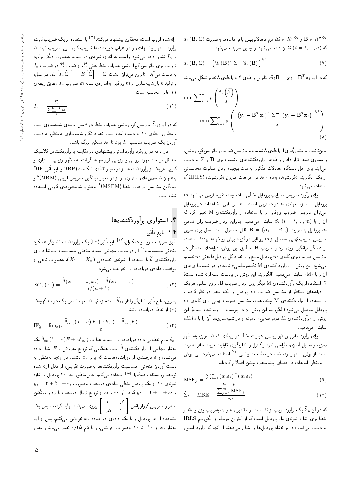$d_i$  ( $\mathbf{B},\Sigma)$ و  $\Sigma \in R^{q \times q}$ ، نرم ماهالانوبیس باقی. $\Sigma \in R^{q \times q}$  و  $\mathbf{B} \in R^{p \times q}$ که  $(i = 1, ..., n)$  نشان داده میشود، و چنین تعریف میشود:

$$
d_i\left(\mathbf{B}, \Sigma\right) = \left(\widehat{u}_i\left(\mathbf{B}\right)^T \Sigma^{-1} \widehat{u}_i\left(\mathbf{B}\right)\right)^{1/t} \tag{V}
$$

که در آن،  $\mathbf{B}=\mathbf{y}_i-\mathbf{B}^T\mathbf{x}_i$  بنابراین رابطهی ۳ به رابطهی ۸ تغییر شکل مییابد.

$$
\min \sum_{i=1}^{n} \rho \left( \frac{d_i \left( \widehat{\beta} \right)}{s} \right) =
$$

$$
\min \sum_{i=1}^{n} \rho \left( \frac{\left[ \left( \mathbf{y}_i - \mathbf{B}^T \mathbf{x}_i \right)^T \Sigma^{-1} \left( \mathbf{y}_i - \mathbf{B}^T \mathbf{x}_i \right) \right]^{1/4}}{s} \right)
$$

$$
(A)
$$

بدین ترتیب، با مشتقگیری از رابطهی ۸ نسبت به ماتریس ضرایب و ماتریس کوواریانس، و مساوی صفر قرار دادن رابطهها، برآوردکنندههای مناسب برای  $\mathbf B$  و  $\Sigma$  به دست میآید. برای حل دستگاه معادلات مذکور، بهعلت پیچیده بودن عملیات محاسباتی از یک الگوریتم تکرارشونده بهنام «حداقل مربعات موزون تکرارشونده (IRLS)°» استفاده می شود.

 $m$  برای برآورد ماتریس ضرایب پروفایل خطی ساده چندمتغیره، فرض می شود  $n$  بروفایل با اندازه نمونهی  $n$  در دسترس است. ابتدا براساس مشاهدات هر بروفایل می توان ماتریس ضرایب پروفایل را با استفاده از برآوردکنندهی M تعیین کرد که آن را با  $\beta_i$  ( $i = 1, ..., m$ ) نمایش می $\alpha$ هیم. بنابراین بردار ضرایب برای تمامی بروفايل بهصورت  $\{\beta_1,...,\beta_m\} = \mathbf{B} = \{0, ..., \beta_m\}$  قابل حصول است. حال براى تعيين ماتریس ضرایب نهایی حاصل از  $m$  پروفایل دوگزینه پیش رو خواهد بود:۱. استفاده از عملگر میانگین روی بردار ضرایب B؛ مطابق این روش، درایههای متناظر هر ماتريس ضرايب براي كليهي  $m$  پروفايل جمع و بر تعداد كل پروفايل ها يعني  $m$  تقسيم میشود. این روش را «برآورد کنندهی M تکمرحلهیی» نامیده و در شبیهسازی های أن را با «M» نمايش ميدهيم (الكوريتم اين روش در پيوست الف ارائه شده است) ۲. استفاده از یک برآوردکنندهی M دیگر روی بردار ضرایب B. براین اساس هریک از درایههای متناظر از ماتریس ضرایب  $m$  پروفایل را یک متغیر در نظر گرفته و  $m$  با استفاده از برآوردکننده $\, {\rm M} \,$  چندمتغیره، ماتریس ضرایب نهایی برای کلیهی پروفایل حاصل میشود (الگوریتم این روش نیز در پیوست ب ارائه شده است). این روش را «برآوردكنندهى M دومرحلهيى» ناميده و در شبيهسازىها آن را با «M۲» نمایش می دهیم.

برای برآورد ماتریس کوواریانس عبارات خطا در رابطهی ۱، که بهویژه بهمنظور تجزیه و تحلیل آماری، طراحی نمودارکنترل و اندازهگیری قابلیت فرایند حائز اهمیت است از روش استوار ارائه شده در مطالعات پیشین<sup>[۲۲]</sup> استفاده میشود. این روش را بهمنظور استفاده در فضاى چندمتغيره چنين اصلاح كردهايم:

$$
\text{MSE}_{j} = \frac{\sum_{i=1}^{n} (w_{i} \varepsilon_{i})^{T} (w_{i} \varepsilon_{i})}{n - p}
$$
\n(4)

$$
\widehat{\Sigma}_b = \text{MSE} = \frac{\sum_{j=1}^m \text{MSE}_j}{m} \tag{1.5}
$$

که در آن  $\widehat{\Sigma}_b$  یک برآورد اریب از  $\Sigma$  است، و مقادیر  $w_i$  و  $\varepsilon_i$  بهترتیب وزن و مقدار خطا براى اندازه نمونهى ilم پروفايل است كه از آخرين مرحله از الگوريتم IRLS به دست میآید.  $m$  نیز تعداد پروفایلها را نشان میدهد. از آنجا که برآورد استوار

ارائهشده اریب است، محققین پیشنهاد میکنند<sup>[۲۲]</sup> با استفاده از یک ضریب ثابت، برَّاورد استوار پیشنهادی را در غیاب دورافتادهها نااریب کنیم. این ضریب ثابت که با  $I_n$  نشان داده میشود، وابسته به اندازه نمونهی  $n$  است. بهعبارت دیگر، برآورد  $I_n$  نااریب برای ماتریس کوواریانس عبارات خطا یعنی  $\widehat{\Sigma}$ ، از ضرب  $\widehat{\Sigma}$  در ضریب به دست می $\big[$ ید. بنابراین می $\bar{\mathbf{q}}$ ان نوشت:  $E\left[\, \widehat{\Sigma}_{\,b}\, \right] = E\left[\, \widehat{\Sigma}\, \right] = E\left[\, \widehat{\Sigma}_{\,b}\, \right]$ . در عمل، با تولید & بار شبیهسازی از  $m$  پروفایل بهاندازهی نمونه  $n$ ، ضریب  $I_n$  مطابق رابطهی ١١ قابل محاسبه است:

$$
I_n = \frac{\sum}{\frac{\sum_{i=1}^k \hat{\Sigma}_{bi}}{k}} \tag{1}
$$

که در آن  $\widehat{\Sigma}_{\,bi}$  ماتریس کوواریانس عبارات خطا در  $i$ امین مرتبهی شبیهسازی است و مطابق رابطهی ۱۰ به دست آمده است. تعداد تکرار شبیهسازی بهمنظور به دست آوردن یک ضریب مناسب  $I_n$  باید تا حد ممکن بزرگ باشد.

در ادامه دو رویکرد برآورد استوار پیشنهادی در مقایسه با برآوردکنندهی کلاسیک حداقل مربعات مورد بررسی و ارزیابی قرار خواهد گرفت. بهمنظور ارزیابی استواری و کارایی هر یک از برآوردکنندهها، از دو معیار نقطهی شکست (BP) ۶ و تابع تأثیر (IF) بهعنوان شاخصهای استواری، و از دو معیار میانگین ماتریس اریبی (MBM)^ و میانگین ماتریس مربعات خطا (MSEM)<sup>۹</sup> به عنوان شاخص های کارایی استفاده شده است.

# ۴. استواری برآوردکنندهها ۰۱.۴ تابع تأثير

طبق تعریف مارونا و همکاران<sup>[۱۸]</sup> تابع تأثیر (IF) یک برآوردکننده نشانگر عملکرد منحنی حساسیت ۱<sup>۰</sup> آن در حالت مجانبی است. منحنی حساسیت استاندارد برای برآوردکننده $\widehat{\theta}$  با استفاده از نمونهی تصادفی  $(X_1,...,X_n)$ ، بهصورت تابعی از موقعیت دادهی دورافتاده . $x$  تعریف می شود:

$$
SC_n(x.) = \frac{\widehat{\theta}(x_1, ..., x_n, x_1) - \widehat{\theta}(x_1, ..., x_n)}{\sqrt{(n+1)}}
$$
(11)

بنابراین، تابع تأثیر نشانگر رفتار ‱ است، زمانی که نمونه شامل یک درصد کوچک از نقاط دورافتاده باشد:  $(\varepsilon)$ 

$$
\text{IF}_{\hat{\theta}} = \lim_{\varepsilon \downarrow^*} \frac{\hat{\theta}_{\infty} \left( \left( 1 - \varepsilon \right) F + \varepsilon \delta_{x.} \right) - \hat{\theta}_{\infty} \left( F \right)}{\varepsilon} \tag{17}
$$

جرم نقطهیی داده دورافتاده . $x$  است. عبارت  $(\Gamma + \varepsilon \delta_x)$  ( ۱ – ۶) جرم نقطهیی داده دورافتاده  $\delta_x$ مقدار مجانبی از برآوردکننده $\widehat{\theta}$  است هنگامی که توزیع مفروض با  $F$  نشان داده میشود، و  $\varepsilon$  درصدی از دورافتادههاست که برابر  $x$  باشند. در اینجا بهمنظور به دست أوردن منحنى حساسيت برأوردكنندهها بهصورت تقريبى، از مدل ارائه شده توسط نورالسناء و همکاران<sup>[۱۵]</sup> استفاده میکنیم. بدین منظور ابتدا ۲۰ پروفایل با اندازه  $y_1 = \mathbf{r} + \mathbf{r} x + \varepsilon_1$  نمونه $\mathbf{v} \circ \mathbf{r}$  از یک پروفایل خطی ساده $\mathbf{v}$  دمتغیره بهصورت و  $x + \varepsilon + y = y$  که در آن ۶۱ و ۶۱ از توزیع نرمال دومتغیره با بردار میانگین ا<br>۱<sub>۵٫۵</sub> | پیروی میکنند تولیدکرده. سپس یک صفرو ماتریس کوواریانس | ۰٫۵°<br>. مشاهده از هر پروفایل را با یک دادهی دورافتاده . x تعویض میکنیم. پس از آن، مقدار . $x$  از ۱۰– تا ۱۰ بهصورت افزایشی، و باگام ۰٫۲۵ تغییر مییابد و مقدار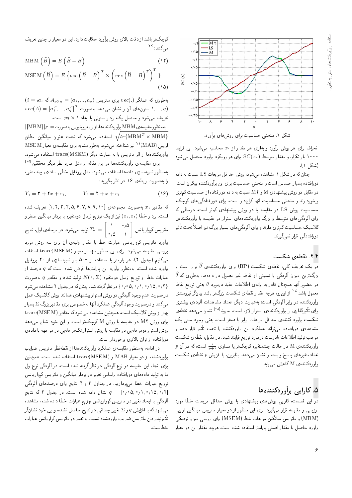

انحراف برای هر روش برآورد و بهازای هر مقدار از . $x$  محاسبه میشود. این فرایند ۱۰۰۰ بار تکرار، و مقدار متوسط  $SC(x.)$  برای هر رویکرد برآورد حاصل میشود (شكل ١).

چنان که در شکل ۱ مشاهده میشود، روش حداقل مربعات LS نسبت به داده دورافتاده بسیار حساس است و منحنی حساسیت برای این برآوردکننده بیکران است. در مقابل دو روش پیشنهادی M و M نسبت به داده دورافتاده از حساسیت کم تری برخوردارند و منحنی حساسیت آنها کراندار است. برای دورافتادگی های کوچک، حساسیت روش LS در مقایسه با دو روش پیشنهادی کمتر است، درحالی که برای آلودگی های متوسط و بزرگ برآوردکنندههای استوار در مقایسه با برآوردکنندهی کلاسیک حساسیت کم تری دارند و برای آلودگی های بسیار بزرگ نیز اصلاً تحت تأثیر دورافتادگی قرار نمیگیرند.

#### ۲.۴. نقطهی شکست

در یک تعریف کلمی، نقطه $_2$  شکست (BP) برای برآوردکننده $\widehat{\theta}$  برابر است با  $\widehat{\theta}$  بزرگ $\tilde{\tau}$ رین میزان آلودگی یا نسبتی از نقاط غیر معمول در دادهها، بهطوری که در حضور آنها همچنان قادر به ارائهى اطلاعات مفيد درمورد  $\theta$  يعنى توزيع نقاط معمول باشد<sup>[۱۸]</sup> از اینرو، هرچه مقدار نقطه ی شکست بزرگ تر باشد بیانگر نیرومندی برآوردکننده در برابر ألودگی است؛ به عبارت دیگر، تعداد مشاهدات ألوده، بیشتری برای تأثیرگذاری بر برآوردکنندهی استوار لازم است. مارونا<sup>۲۸]</sup> نشان میدهد نقطهی شکست برآورد کنندهی حداقل مربعات برابر با صفر است، یعنی وجود حتی یک مشاهدهی دورافتاده می;تواند عملکرد این برآوردکننده را تحت تأثیر قرار دهد و موجب توليد اطلاعات نادرست درمورد توزيع فرايند شود. در مقابل، نقطهي شكست  $p$  برآوردکننده ی $\rm M$  در حالت چندمتغیره کوچک تر یا مساوی  $\frac{1}{p+1}$  است، که در آن تعدادمتغیرهای پاسخ وابسته را نشان میدهد. بنابراین، با افزایش  $p$  نقطه $\epsilon$  شکست برآوردكنندهى M كاهش مى يابد.

# ۵. کارایی برآوردکنندهها

در این قسمت، کارایی روشهای پیشنهادی با روش حداقل مربعات خطا مورد ارزیابی و مقایسه قرار میگیرد. برای این منظور از دو معیار ماتریس میانگین اریبی (MBM) و ماتریس میانگین مربعات خطا (MSEM) برای بررسی میزان نزدیکی برآورد حاصل با مقدار اصلبي پارامتر استفاده شده است. هرچه مقدار این دو معیار

کوچک تر باشد از دقت بالای روش برآورد حکایت دارد. این دو معیار را چنین تعریف می کنند: [<sup>۲۹]</sup>

$$
\text{MBM}\left(\widehat{B}\right) = E\left(\widehat{B} - B\right) \tag{15}
$$

$$
\text{MSEM}\left(\widehat{B}\right) = E\left\{vec\left(B - B\right)^T \times \left(vec\left(\widehat{B} - B\right)^T\right)^T\right\} \tag{12}
$$

 $(i = a_i \, s \, A_{p \times q} = (a_1, ..., a_q)$  بەطورى كە عملگر  $vec(A) = [a_1^T, ..., a_a^T]^T$  ستون های آن را نشان می دهد به صورت  $(a_1^T, ..., a_a^T)^T$ تعریف میشود و حاصل یک بردار ستونی با ابعاد ۱ ×  $q \times p$  است.

 $||\text{MBM}||_F =$ به منظور مقايسه ی MBM برآوردكننده ها، از نرم فرو بنيوس به صورت استفاده میشود که تحت عنوان میانگین مطلق  $\sqrt{tr\{\text{MBM}^T\times\text{MBM}\}}$ اریبی (MAB)<sup>١١</sup> نیز شناخته می شود. بهطور مشابه برای مقایسهی معیار MSEM برآوردکنندهها از اثر ماتریس یا به عبارت دیگر (trace(MSEM استفاده می شود.

برای مقایسهی برآوردکنندهها در این مقاله از مدل مورد نظر دیگر محققین<sup>[۱۵]</sup> بهمنظور شبیهسازی دادهها استفاده مهرشود. مدل بروفایل خطبی سادهی چندمتغیره را به صورت رابطهی ۱۶ در نظر بگیرید:

$$
Y_1 = \mathbf{Y} + \mathbf{Y}x + \varepsilon_1, \qquad Y_1 = \mathbf{Y} + x + \varepsilon_1 \qquad (\mathbf{Y})
$$

که مقادیر  $x_i$  بهصورت مجموعهی  $[ \, \backslash \, , \, \mathsf{y}, \, \mathsf{y}, \, \mathsf{A}, \, \mathsf{A}, \, \backslash \, \bullet \, ]$  تعریف شده است. بردار خطا (٤١,٤٢) نیز از یک توزیع نرمال دومتغیره با بردار میانگین صفر و برآورد ماتریس کوواریانس عبارات خطا با مقدار اولیهی آن برای سه روش مورد بررسی مقایسه می شود. برای این منظور تنها از معیار (trace(MSEM استفاده می کنیم (جدول ۲). هر پارامتر با استفاده از ۵۰۰ بار شبیهسازی از ۲۰ پروفایل .<br>برآورد شده است. بهمنظور برآورد این پارامترها فرض شده است که q درصد از عبارات خطا از توزیع نرمال دومتغیره  $N(\mathord{\circ}, \Sigma)$  تولید شده، و مقادیر  $q$  بهصورت { ٢, ٥, ٥, ٥, ٥, ٥, ٥, ٥ ٠, ٥} در نظركرفته شد. چنان كه در جدول ٢ مشاهده مى شود در صورت عدم وجود آلودگی دو روش استوار پیشنهادی همانند روش کلاسیک عمل می کنند و درصورت وجود آلودگی عملکرد آنها بهخصوص برای مقادیر بزرگ ∑ بسیار بهتر از روش كلاسيك است. همچنين مشاهده مي شود كه مقادير (trace(MSEM برای روش M۲ در مقایسه با روش M کوچکتر است، و این خود نشان میدهد روش استوار دومرحلهیی در مقایسه با روش استوار تک مرحلهیی در مواجهه با دادهی دورافتاده از توان بالاترى برخوردار است.

در ادامه، بهمنظور مقایسهی عملکرد برآوردکنندهها از نقطهنظر ماتریس ضرایب برآوردشده، از دو معیار MAB و trace(MSEM) استفاده شده است. همچنین برای انجام این مقایسه دو نوع آلودگی در نظر گرفته شده است. در آلودگی نوع اول ما به تولید دادههای دورافتاده براساس تغییر در بردار میانگین و ماتریس کوواریانس توزیع عبارات خطا می پردازیم. در جداول ۳ و ۴ نتایج برای درصدهای ألودگی نشان داده شده است. در جدول ۳ که نتایج  $q = [ \circ \circ \circ, \circ, \circ, \circ, \circ, \circ, \star]$ ألودگی با ایجاد تغییر در ماتریس کوواریانس توزیع عبارات خطا داده شده، مشاهده میشود که با افزایش  $q$  و  $\Sigma$  تغییر چندانی در نتایج حاصل نشده، و این خود نشانگر تأثيرنپذيرفتن ماتريس ضرايب برآوردشده نسبت به تغيير در ماتريس كواريانس عبارات خطاست.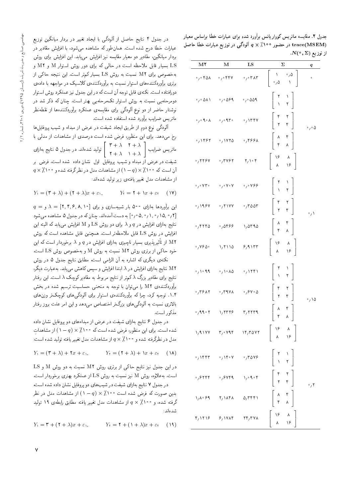بهخصوص برای M۲ نسبت به روش LS بسیار کم تر است. این نتیجه حاکمی از برتری برآوردکنندههای استوار نسبت به برآوردکنندهی کلاسیک در مواجهه با دادهی دورافتاده است. نكتهى قابل توجه آن است كه در اين جدول نيز عملكرد روش استوار دومرحلهیی نسبت به روش استوار تکمرحلهیی بهتر است. چنان که ذکر شد <mark>د</mark>ر نوشتار حاضر از دو نوع ألودگی برای مقایسه، عملکرد برآوردکنندهها از نقطهنظر ماتريس ضرايب برأورد شده استفاده شده است.

آلودگی نوع دوم از طریق ایجاد شیفت در عرض از مبداء و شیب بروفایل ها رخ میدهد. برای این منظور، فرض شده است درصدی از مشاهدات از مدلی با - ۲ + ۸ - ۲ + ۳  $\int$  تولید شدهاند. در جدول ۵ نتایج بهازای  $\begin{bmatrix} r+\lambda & r+\lambda \\ r+\lambda & r+\lambda \end{bmatrix}$ ماتريس ضرايب | .<br>شیفت در عرض از مبداء و شیب پروفایل اول نشان داده شده است. فرض بر  $q \times \hat{\Lambda}$ آن است که ۱۰۰٪ $\setminus (\Lambda - \Lambda)$  از مشاهدات مدل در نظرگرفته شده و ۱۰۰٪  $\setminus \setminus \setminus \setminus$ از مشاهدات مدل تغییر یافتهی زیر تولید شدهاند:

$$
Y_1 = (\mathbf{Y} + \lambda) + (\mathbf{Y} + \lambda)x + \varepsilon_1, \qquad Y_1 = \mathbf{Y} + \lambda x + \varepsilon_1 \quad (1\mathbf{Y})
$$

 $q = \lambda = [$ ۲, ۴, ۶, ۸, ۱۰] این برآوردها بهازای ۵۰۰ بار شبیهسازی و برای  $\lambda = [$ ۲, ۴, ۶, ۸, ۱۰ [۰٫۰۵٬۰٫۱ م ۰٫۱٫۰٫۰] به دست آمدهاند. چنان که در جدول ۵ مشاهده می شود نتايج بهازاى افزايش در q و λ براى دو روش LS و M افزايش مىيابد كه البته اين افزایش در روش LS قابل ملاحظهتر است. همچنین قابل مشاهده است که روش M۲ از تأثیرپذیری بسیار ناچیزی بهازای افزایش در q و λ برخوردار است که این خود حاکی از برتری روش M ۲ نسبت به روش M و بهخصوص روش LS است.

نکتهی دیگری که اشاره به آن الزامی است، مطابق نتایج جدول ۵ در روش M۲ نتایج بهازای افزایش در ۸ ابتدا افزایش و سپس کاهش می یابد. بهعبارت دیگر، نتایج برای مقادیر بزرگ ۸ کم تر از نتایج مربوط به مقادیر کوچک ۸ است. این رفتار برآوردکننده، M۲ را می توان با توجه به منحنبی حساسیت ترسیم شده در بخش ۰۱.۴ توجیه کرد، چرا که برآوردکنندهی استوار برای آلودگیهای کوچک تر وزن های بالاتری نسبت به آلودگی های بزرگ تر اختصاص میٖدهد و این امر علت بروز رفتار مذكور است.

در جدول ۶ نتایج بهازای شیفت در عرض از مبداءهای دو بروفایل نشان داده شده است. برای این منظور، فرض شده است که ۱۰۰۰٪ × (P – ۱) از مشاهدات مدل در نظرگرفته شده و ۹۰۰٪ و ۲ از مشاهدات مدل تغییر یافته تولید شده است:

$$
Y_1 = (\mathbf{r} + \lambda) + \mathbf{r}x + \varepsilon_1, \qquad Y_t = (\mathbf{r} + \lambda) + \lambda x + \varepsilon_t \quad (\lambda \lambda)
$$

در این جدول نیز نتایج حاکمی از برتری روش M۲ نسبت به دو روش M و LS است. به علاوه، روش M نیز نسبت به روش LS از عملکرد بهتری برخوردار است.

در جدول ۷ نتايج بهازاي شيفت در شيب هاي دو پروفايل نشان داده شده است، بدین صورت که فرض شده است ۱۰۰٪ × (q – ۱) از مشاهدات مدل در نظر گرفته شده، و ۰۰°٪ 7 ٪ از مشاهدات مدل تغییر یافته مطابق رابطهی ۱۹ تولید .<br>شدهاند:

$$
Y_1 = \mathbf{r} + (\mathbf{r} + \lambda)x + \varepsilon_1, \qquad Y_t = \mathbf{r} + (\lambda + \lambda)x + \varepsilon_t \quad (14)
$$

| M٢                                                          | М                                                                         | LS                                              | Σ                                                                                                                                                                                 | q                                 |
|-------------------------------------------------------------|---------------------------------------------------------------------------|-------------------------------------------------|-----------------------------------------------------------------------------------------------------------------------------------------------------------------------------------|-----------------------------------|
| $\cdot$ , $\cdot$ ran                                       | $\cdot$ , $\cdot$ $\gamma$                                                | $\cdot$ , $\cdot$ r $\lambda$ r                 | $\begin{bmatrix} 0 \\ 1 \end{bmatrix}$<br>$\frac{1}{\sqrt{2}}$<br>$\mathbb{R}$                                                                                                    | o                                 |
| $\cdot$ , $\cdot$ $\Delta \Lambda \Lambda$                  | $\cdot$ , $\circ$ $\circ$ $\circ$ 9                                       | $\cdot$ , $\cdot$ 009                           | $\begin{pmatrix} 1 \\ 1 \\ 1 \end{pmatrix}$<br>$\begin{array}{c} \mathbf{r} \\ \mathbf{v} \end{array}$<br>$\mathbf{r}$                                                            |                                   |
| $\circ$ , $\circ$ 9 $\circ$ $\wedge$                        | $\cdot$ , $\cdot$ 9 $\mathsf{r}$ $\cdot$                                  | .7                                              | $\begin{array}{c} r \\ r \end{array}$<br>$\begin{array}{c} \mathbf{r} \\ \mathbf{r} \end{array}$                                                                                  | $\circ$ $\prime$ $\circ$ $\Delta$ |
| ۰٫۱۴۶۲                                                      | ۱۷۲۵ ز۰                                                                   | $\cdot$ , ९۶۶۸                                  | $\begin{matrix} 6 & 6 \\ 6 & 6 \\ 1 & 1 \end{matrix}$<br>$\frac{\lambda}{r}$                                                                                                      |                                   |
| .7779V                                                      | $\cdot$ , $\mathsf{r}$ $\mathsf{v}$ ۶۲                                    | $\mathbf{Y}_1 \setminus \mathbf{Y}$             | $\begin{array}{c} \lambda \\ \lambda \circ \end{array}$<br>$\begin{pmatrix} \lambda \epsilon \\ \lambda \end{pmatrix}$                                                            |                                   |
| $\cdot$ , $\cdot$ V۳ $\cdot$                                | $\circ$ , $\circ$ V $\circ$ V                                             | $\cdot$ , $\cdot$ Y&&                           | $\begin{array}{c} 7 \\ 1 \end{array}$<br>$\begin{pmatrix} 1 \\ 1 \\ 1 \end{pmatrix}$                                                                                              |                                   |
| .198V                                                       | $\cdot$ , $\mathsf{r}$ $\mathsf{v}$ $\mathsf{v}$                          | $\cdot$ , $r$ $\circ$ $\circ$ $r$               | $\begin{array}{c} \tau \\ \tau \end{array}$<br>$\begin{array}{c} \mathbf{r} \\ \mathbf{r} \end{array}$                                                                            | $\cdot / \sqrt{}$                 |
| $\cdot$ , $\mathsf{rrs}\,$                                  | ۰٫۵۴۶۶                                                                    | 1,0790                                          | $\frac{\lambda}{\mathsf{r}}$<br>$\begin{matrix} 6 & 6 \\ 6 & 6 \\ 1 & 1 \end{matrix}$                                                                                             |                                   |
| ۷۶۵۰،                                                       | 1,7110                                                                    | $8,9$ $177$                                     | $\begin{pmatrix} 1 \\ 1 \\ 2 \end{pmatrix}$<br>$\begin{array}{c} \lambda \xi \\ \lambda \end{array}$                                                                              |                                   |
| $\cdot$ , \ $\cdot$ 9.9                                     | $\cdot$ , $\cdot$ $\wedge$ $\wedge$                                       | $\cdot$ / ۱۲۴۱                                  | $\begin{array}{c}\n\uparrow \\ \downarrow\n\end{array}$<br>$\begin{bmatrix} 1 \\ 1 \end{bmatrix}$                                                                                 |                                   |
| $\cdot$ ,۳۶۸۲                                               | $\cdot$ , ۳۹۷۸                                                            | $\cdot$ , $\circ$ $\vee$ $\cdot$ $\circ$        | ۴<br>٢<br>$\begin{bmatrix} 1 \\ 0 \\ 0 \\ 0 \end{bmatrix}$<br>$\mathbf{r}$                                                                                                        | $\phi$ / $\delta$                 |
| $\cdot$ , 99 $\cdot$ $\cdot$                                | $\frac{1}{4}$                                                             | r, rrr1                                         | $\lambda$<br>۴<br>۴<br>$\lambda$                                                                                                                                                  |                                   |
|                                                             | $\gamma$ , $\gamma$ and $\gamma$ is a respectively in the set of $\gamma$ |                                                 | $\begin{vmatrix} \lambda \beta & \lambda \\ \lambda & \lambda \beta \end{vmatrix}$                                                                                                |                                   |
| $\cdot$ / ۱۴۴۳                                              | $\cdot$ , $\setminus$ $\uparrow$ $\cdot$ $\vee$                           | .7049                                           | $\left[\begin{array}{cc} Y & Y \\ Y & Y \end{array}\right]$                                                                                                                       |                                   |
| $\cdot$ , $\epsilon$ $\mathsf{r}$ $\mathsf{r}$ $\mathsf{r}$ | $\cdot$ , $\epsilon$ v $\epsilon$ q                                       | $\lambda_1 \circ \mathbf{A} \circ \mathbf{F}$   | $\begin{array}{ c c c }\n\hline\n\end{array}$ $\begin{array}{ c c }\n\hline\n\end{array}$ $\begin{array}{ c c }\n\hline\n\end{array}$ $\begin{array}{ c c }\n\hline\n\end{array}$ | $\cdot$ / $\mathsf{r}$            |
| ۱٫۸۰۶۹                                                      | Y/11Y                                                                     | $\Delta$ / $\Gamma$ $\Gamma$ $\Gamma$           | $\begin{array}{c} \lambda \\ f \end{array}$<br>$\begin{bmatrix} 1 & 1 \\ 1 & 1 \\ 1 & 1 \end{bmatrix}$                                                                            |                                   |
| $f/\uparrow\uparrow\uparrow$                                | 8/191                                                                     | $\mathbf{Y} \mathbf{Y} / \mathbf{Y} \mathbf{Y}$ | $\begin{array}{ccc} \n\sqrt{2} & \sqrt{2} & \sqrt{2} \\ \n\sqrt{2} & \sqrt{2} & \sqrt{2} \\ \n\sqrt{2} & \sqrt{2} & \sqrt{2} \\ \n\end{array}$                                    |                                   |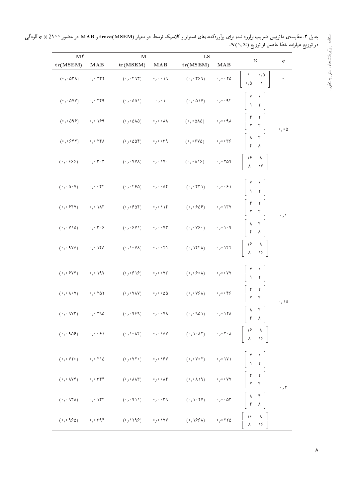| M <sup>Y</sup>                                                |                                                                       | М                                                             | $_{\rm LS}$                                                    |                                                                                                                                                                                                                                                                                                                                                                                                                                                                                                       |                                                                              |                                                                                                                                                  |                            |
|---------------------------------------------------------------|-----------------------------------------------------------------------|---------------------------------------------------------------|----------------------------------------------------------------|-------------------------------------------------------------------------------------------------------------------------------------------------------------------------------------------------------------------------------------------------------------------------------------------------------------------------------------------------------------------------------------------------------------------------------------------------------------------------------------------------------|------------------------------------------------------------------------------|--------------------------------------------------------------------------------------------------------------------------------------------------|----------------------------|
| tr(MSEM)                                                      | MAB                                                                   | tr(MSEM)                                                      | $\bf{M} \bf{A} \bf{B}$                                         | tr(MSEM)                                                                                                                                                                                                                                                                                                                                                                                                                                                                                              | MAB                                                                          | Σ                                                                                                                                                | q                          |
| $(°/°$ $\Delta$ ۳ A)                                          | $\cdot$ , $\cdot$ ۲۴۲                                                 | $(°,°$ ۴۹۳)                                                   | $\cdot$ / $\cdot$ 19                                           | $(°/°$ ۴۶۹)                                                                                                                                                                                                                                                                                                                                                                                                                                                                                           | $\circ$ / $\circ$ $\circ$ $\uparrow$ $\upDelta$                              | $\gamma$ $\Delta$<br>$\frac{1}{\alpha}$<br>À                                                                                                     | $\circ$                    |
| $( \cdot \, , \cdot \, \Delta \vee \vee )$                    | $\cdot$ , $\cdot$ ۲۴۹                                                 | $(°/°$ $\Delta \Delta)$                                       | $\cdot$ , $\cdot$                                              | $(°/°$ $\Delta$ \V)                                                                                                                                                                                                                                                                                                                                                                                                                                                                                   | $\circ$ / $\circ$ o q $\uparrow$                                             | $\frac{1}{1}$                                                                                                                                    |                            |
| $(°/°$ $\Delta$ 9 $(°)$                                       | $\rightarrow$ $\prime$ $\cdot$ $\prime$ $\cdot$ $\prime$              | $(°/°$ $0\land$ $0)$                                          | $\rightarrow$ $\rightarrow$ $\rightarrow$ $\lambda\lambda$     | $(°/°$ $00$ $\lambda$                                                                                                                                                                                                                                                                                                                                                                                                                                                                                 | $\wedge$ , $\circ$ , $\vee$                                                  | $\begin{array}{c} \mathbf{r} \\ \mathbf{r} \end{array}$<br>$\begin{array}{c} \uparrow \\ \uparrow \end{array}$                                   | $\circ$ , $\circ$ $\Delta$ |
| $(°/°$ $^{\circ}$ $^{\circ}$ $^{\circ}$ $^{\circ}$ $^{\circ}$ | $\cdot$ , $\cdot$ $\uparrow$ $\uparrow$ $\uparrow$ $\uparrow$         | $(°/°$ $\Delta \Delta f)$                                     | $\cdot$ , $\cdot$ or 9                                         | $(°/°$ $°$ $\sqrt{0})$                                                                                                                                                                                                                                                                                                                                                                                                                                                                                | $\circ$ $_7 \circ$ $\circ$ $\uparrow \uparrow \uparrow$                      | $\frac{\lambda}{r}$                                                                                                                              |                            |
| $(°/°$ $999)$                                                 | $\cdot$ , $\cdot$ r $\cdot$ r                                         | $(°/°$ YYA)                                                   | $\mathcal{O}_1 \circ \mathcal{M} \circ$                        | $(°/°$ A \ $\theta$ )                                                                                                                                                                                                                                                                                                                                                                                                                                                                                 | $\gamma$ $\gamma$ $\gamma$ $\uparrow$ $\uparrow$ $\uparrow$ $\uparrow$       | $\begin{array}{c} \lambda \xi \\ \lambda \end{array}$<br>$\begin{array}{c} \lambda \\ \lambda \rho \end{array}$                                  |                            |
| $(°/° \Delta° V)$                                             | $\cdot$ , $\cdot$ . $\mathsf{FP}$                                     | $(°/°$ ۴۶۵)                                                   | $\circ$ , $\circ$ . $\circ$ 0                                  | $(\mathcal{M},\mathcal{M})$                                                                                                                                                                                                                                                                                                                                                                                                                                                                           | $\circ$ / $\circ$ . $\circ$ /                                                |                                                                                                                                                  |                            |
| $(°/°$ $^{\circ}$ $^{\circ}$ $^{\circ}$ $^{\circ}$ $^{\circ}$ | $\cdot$ $\cdot$ $\wedge$ $\wedge$ $\vee$                              | $(°/°$ $°$ $\delta$ $^{\circ}$ $)$                            | $\gamma \circ \Delta \Upsilon$                                 | $(°/°$ $68)$                                                                                                                                                                                                                                                                                                                                                                                                                                                                                          | $\ensuremath{^\circ}/\ensuremath{^\circ}$ \rv                                | $\begin{array}{c} \uparrow \\ \uparrow \\ \uparrow \end{array}$                                                                                  | $\cdot$ / $\setminus$      |
| $(°/°$ Y \ $\Delta)$                                          | $\cdot$ , $\cdot$ , $\cdot$                                           | $(°/°$ $°$ Y \)                                               | $\cdot$ , $\cdot$ . $\vee\uparrow$                             | $(\mathcal{O}_f \mathcal{O}_f \mathcal{O}_f)$                                                                                                                                                                                                                                                                                                                                                                                                                                                         | $\mathcal{O}_f \circ \mathcal{O}_f \circ \mathcal{A}$                        | $\begin{array}{cc} \begin{matrix} \lambda & \mathbf{f} \\ \mathbf{f} & \mathbf{f} \end{matrix} \end{array}$                                      |                            |
| $(°/°$ 1 Y $\Delta$ )                                         | $\cdot$ , $\cdot$ ) $\mathsf{r}\, \mathsf{o}$                         | (0,10V)                                                       | $\circ$ / $\circ$ or $\uparrow \uparrow$                       | $(°,$ 1۴۴۸)                                                                                                                                                                                                                                                                                                                                                                                                                                                                                           | $\ensuremath{^\circ}/\ensuremath{^\circ}$ \<br>  $\ensuremath{\mathsf{f}}$ T | $\left \begin{array}{cc} \lambda \beta & \lambda \\ \lambda & \lambda \beta \end{array}\right $                                                  |                            |
| $(°/°$ $^{\circ}$ $^{\circ}$ Y $^{\circ}$ )                   | $\cdot$ , $\cdot$ ) 9 V                                               |                                                               | $\cdot$ , $\cdot$ . $\vee\uparrow$                             | $(\mathop{}\!\mathrel{\scriptscriptstyle\circ}_{\mathbin{/}}\mathop{}\!\mathrel{\scriptscriptstyle\circ}\mathop{}\!\mathrel{\scriptscriptstyle\circ}\mathop{}\!\mathrel{\scriptscriptstyle\circ}\mathop{}\!\mathrel{\scriptscriptstyle\circ}\mathop{}\!\mathrel{\scriptscriptstyle\circ}\mathop{}\!\mathrel{\scriptscriptstyle\circ}\mathop{\scriptscriptstyle\circ}\mathop{\scriptscriptstyle\circ}\mathop{\scriptscriptstyle\circ}\mathop{\scriptscriptstyle\circ}\mathop{\scriptscriptstyle\circ}$ | $\circ$ / $\circ$ $\circ$ AA                                                 | $\begin{array}{c} \n\uparrow \\ \downarrow\n\end{array}$                                                                                         |                            |
| $(°/° \Lambda° V)$                                            | $\cdot$ , $\cdot$ $\cdot$ $\cdot$ $\circ$ $\cdot$                     | $(°/°$ YAY)                                                   | $^{\circ}$ , $^{\circ}$ $^{\circ}$ $\Delta\Delta$              | $(\mathcal{N} \mathcal{N})$ ( $\mathcal{N} \mathcal{N}$                                                                                                                                                                                                                                                                                                                                                                                                                                               | $\circ$ / $\circ$ o k $\delta$                                               | $\begin{array}{c} \nabla \cdot \mathbf{I} \\ \mathbf{Y} \end{array}$<br>$\begin{array}{c} \uparrow \\ \uparrow \end{array}$                      | $\cdot$ 10                 |
| $(°/°$ 1 V۳)                                                  | $\cdot$ , $\cdot$ 190                                                 | $(\circ$ , $\circ$ 9.89)                                      | $\rightarrow$ $\rightarrow$ $\rightarrow$ $\gamma \rightarrow$ | $(\gamma \cdot 101)$                                                                                                                                                                                                                                                                                                                                                                                                                                                                                  | $\gamma \circ \Delta \Delta$                                                 | $\begin{vmatrix} 0 & \lambda \\ \lambda & \lambda \end{vmatrix}$                                                                                 |                            |
| (°/°90)                                                       | $\rightarrow$ $\rightarrow$ $\rightarrow$ $\rightarrow$ $\rightarrow$ | $(\mathcal{O}_f\setminus\mathcal{O}_f\setminus\mathcal{O}_f)$ | $\sim$ $/ \sim 10V$                                            |                                                                                                                                                                                                                                                                                                                                                                                                                                                                                                       |                                                                              | $(e_1 \setminus e \land Y)$ $e_1 \circ Y \circ A$ $\begin{bmatrix} \setminus e & A \\ A & \setminus e \end{bmatrix}$                             |                            |
| (°/°VY°)                                                      | $\cdot$ / $\cdot$ $\uparrow$ 10                                       | $(\mathcal{O}_f \mathcal{O}_f \mathcal{O}_f)$                 | $\rightarrow$ / $\rightarrow$ 18 V                             | $(\mathcal{O}_f \mathcal{O}_f \mathcal{O}_f)$                                                                                                                                                                                                                                                                                                                                                                                                                                                         | $\gamma\gamma$ MVV                                                           | $\left[\begin{array}{cc} \gamma & \gamma \\ \gamma & \gamma \end{array}\right]$                                                                  |                            |
| $(°/°$ AV۴)                                                   | $\cdot$ , $\cdot$ r r r                                               | $(°/°$ $\wedge \wedge$ $\wedge$                               | $\circ$ , $\circ$ . $\wedge \uparrow$                          | $(\mathcal{O}_f\mathcal{O}(\lambda\lambda\mathfrak{A}))$                                                                                                                                                                                                                                                                                                                                                                                                                                              | $\overline{\mathcal{O}}_f \circ \overline{\mathcal{O}}_f$ VV                 | $\begin{bmatrix} \mathbf{r} & \mathbf{r} \\ \mathbf{r} & \mathbf{r} \end{bmatrix}$                                                               | $\cdot$ , $\mathsf{r}$     |
| $(°/°$ 1۳۸)                                                   | $\rightarrow$ $\gamma \circ \Delta$                                   | (2, 0, 1)                                                     | $\circ$ / $\circ$ o $\uparrow$ 9                               | $(\cdot / \cdot \mathsf{YY})$                                                                                                                                                                                                                                                                                                                                                                                                                                                                         | $\gamma\gamma\circ\Delta\mathsf{t}$                                          | $\begin{array}{c} \begin{array}{c} \lambda \end{array} & \mathfrak{r} \\ \mathfrak{r} \end{array}$                                               |                            |
| $(°/°$ 180)                                                   | $\cdot$ , $\cdot$ riqr                                                | $(\cdot, 1119)$                                               | $\gamma \circ \Delta V V$                                      | $(\cdot / \sqrt{88} \lambda)$                                                                                                                                                                                                                                                                                                                                                                                                                                                                         | $\cdot$ , $\cdot$ r r $\circ$                                                | $\begin{array}{c} \lambda \in \mathbb{R}^n, \\ \lambda \in \mathbb{R}^n, \end{array}$<br>$\begin{array}{c} \lambda \\ \lambda \circ \end{array}$ |                            |

جدول ۳. مقایسهی ماتریس ضرایب براورد شده برای براوردکنندههای استوار و کلاسیک توسط دو معیار (MAB و MAB در حضور ۱۰۰٪ Q × ٪ الودگی . وي عبارت عن الردي .<br>در توزيع عبارات خطا حاصل از توزيع (N(° , ∑).

 $\lambda$ 

تقاده از برآوردکنندههای استوار بهمنظور…

استقاده از برآوردکنندههای استوار بهمنظور…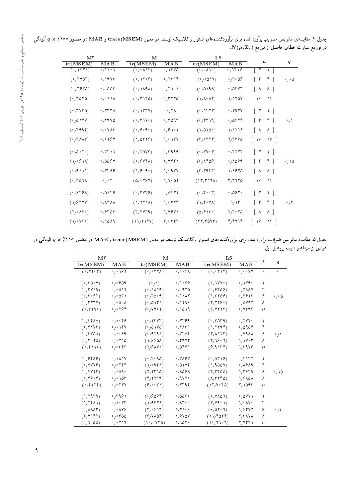| M <sup>Y</sup>                           |                                        |                                                       |                                              | LS                                               |                                |                 |                |                            |
|------------------------------------------|----------------------------------------|-------------------------------------------------------|----------------------------------------------|--------------------------------------------------|--------------------------------|-----------------|----------------|----------------------------|
| tr(MSEM)                                 | MAB                                    | tr(MSEM)                                              | MAB                                          | tr(MSEM)                                         | MAB                            |                 | $\mu$          | q                          |
| $(\sqrt{751})$                           | $\cdot$ / \ \ $\cdot$ \                | (۰٫۰ ۸۱۴)                                             | .1550                                        | $( \cdot \wedge \vee \cdot )$                    | $\sqrt{111}$                   | ٢               |                |                            |
| $(°, r$ vor)                             | $\cdot$ / 1987                         | $(°, \mathcal{N} \cdot \mathcal{F})$                  | $\cdot$ , ۲۳۱۴                               | (0,001)                                          | ۵٫۳۰۵۶                         | $\mathbf{r}$    | $r$            | $\cdot$ , $\circ$ $\Delta$ |
| $(°, r$ ۶۳۵)                             | $\cdot$ , $\cdot$ $\Delta \Delta \tau$ | (°/NAA)                                               | $\cdot$ , $\uparrow \uparrow \cdot \uparrow$ | (0,0)                                            | $\cdot$ , $\circ$ , $\circ$    | —∧              | $\lambda$      |                            |
| $(°, r$ ara)                             | $\cdot$ , $\cdot$ \\ $\lambda$         | $(°, r \vee r \wedge \wedge)$                         | ۲۴۲۵،                                        | $(\lambda, \lambda, \lambda)$                    | 1,1707                         | ۱۶              | $\sqrt{2}$     |                            |
| (0,7YY)                                  | .7770                                  | $(0,1$ rry                                            | $\cdot$ , ۲۸                                 | $(0,1$ ( $\mathcal{V}$                           | $\cdot$ , $\gamma$ 97 $\gamma$ | $\vert$ $\vert$ | $\mathsf{r}$   |                            |
| (0,018V)                                 | .7940                                  | $(°, 7'$ \ Y $°)$                                     | $\cdot$ , $4097$                             | $(0, \text{FT14})$                               | .0879                          | $\mathbf{r}$    | $\uparrow$     | $\cdot$ / $\setminus$      |
| (0, 1999)                                | $\cdot$ , $\cdot$ $\vee$ $\wedge\tau$  | (0, 9090)                                             | $\circ$ , $\circ$ \ $\circ$ \                | $(\lambda/\Delta \Upsilon \Delta \cdot)$         | 1/1119                         | ∣∧              | $\lambda$      |                            |
| $(°, r \wedge \wedge r)$                 | $\circ$ , $\circ$ ۲۶۷                  | $(\lambda, \delta \mathsf{T} \mathsf{T} \mathcal{F})$ | $\lambda$ $\cdot$ $\lambda$ $\mu$ $\lambda$  | (5, 477)                                         | ۲٬۲۳۶۵                         | ۱۶              | $\sqrt{2}$     |                            |
| (°/0° 1°)                                | .7511                                  | (0,70Y)                                               | $\cdot$ , ۳۹۹۹                               | (0, 110, 1)                                      | ٬٫۴۲۲۴                         | $ $ $\uparrow$  | $\mathsf{r}$   |                            |
| $(\lambda/\sqrt{2})$                     | $\cdot$ ,006 $\vee$                    | $(°,$ $9$ Y $*$ A)                                    | $\cdot$ , $VFF$                              | $(0, \lambda \uparrow \Delta \rho)$              | $\cdot$ , 1089                 | $\mathbf{r}$    | $\mathcal{F}$  | $\cdot$ , \ $\circ$        |
| (1111)                                   | $\cdot$ , ۲۴۶۶                         | $(\lambda, \beta \cdot \mathcal{A} \cdot)$            | $\mathcal{N} \cdot \mathcal{N}$              | $(\Upsilon, \Upsilon$                            | 1,8870                         | $\vert \lambda$ | $\wedge$       |                            |
| (0.691)                                  | $\cdot$ , $\cdot$ r                    | (0, 0, 18V)                                           | 1, 9.07                                      | (17, 719)                                        | r, r                           | $\mid \lambda$  | $\sqrt{2}$     |                            |
| $(°,$ ۶۴۶۸)                              | .0169                                  | (0,7Y5)                                               | $\cdot$ , $\circ$ $\circ$ $\circ$ $\circ$    | (0, 1, 0, 0, 0)                                  | $\cdot$ ,067 $\cdot$           | $\vert$ $\vert$ | $\mathsf{r}$   |                            |
| $(1, 8$ r YY)                            | 。 ハ۳ ハハ                                | $(\lambda, \Upsilon \Upsilon \Upsilon \Lambda)$       | ۰٫۰۳۲۳                                       | $(\lambda, \mathbf{f} \cdot \mathbf{V} \lambda)$ | 1/15                           | $\mathbf{r}$    | $\mathfrak{r}$ | $\cdot$ / ۲                |
| $(Y, \cdot \wedge \mathfrak{f} \cdot)$   | ٬٬۶۳۵۴                                 | (T, YYT)                                              | 1,7971                                       | (0, 811)                                         | $Y/T \circ YQ$                 | $\lambda$       | $\lambda$      |                            |
| $(\lambda/\cdot$ Y $\mathcal{S} \cdot )$ | $\cdot$ , \ $\circ$ \ $\circ$          | (11, 717)                                             | ۳٫۰۳۴۳                                       | (11, 100)                                        | ۴٫۴۷۱۴                         | ۱۶              | $\sqrt{2}$     |                            |

جدول ۴. مقایسهی ماتریس ضرایب براورد شده برای براوردکنندههای استوار وکلاسیک توسط دو معیار (mate(MSEM و MAB در حضور ۱۰۰٪ Q x الودگی  $N(\mu, \Sigma_\circ)$  در توزیع عبارات خطای حاصل از توزیع (

جدول ۵. مقایسه ماتریس ضرایب براورد شده برای براوردکنندههای استوار وکلاسیک توسط دو معیار (maB و MAB در حضور °°۱/ x /\ والودگی در عرض از مبداء و شیب پروفایل اول.

| M <sup>Y</sup>                                    |                                                    | М                             |                                            | LS                                                                      |                                         |             |                            |
|---------------------------------------------------|----------------------------------------------------|-------------------------------|--------------------------------------------|-------------------------------------------------------------------------|-----------------------------------------|-------------|----------------------------|
| tr(MSEM)                                          | MAB                                                | tr(MSEM)                      | MAB                                        | tr(MSEM)                                                                | MAB                                     | $\lambda$   | $\boldsymbol{q}$           |
| $(°, \text{YY} \cdot \text{Y})$                   | $\circ$ , $\circ$ 187                              | $(°/°$ f T A)                 | $\circ$ , $\circ$ $\circ$ $\circ$ $\wedge$ | (0,0)                                                                   | $\circ$ , $\circ$ . $\vee$ $\vee$       | $\mathbf 0$ | $\bullet$                  |
| (0,70.8)                                          | $\cdot$ , $\cdot$ $\circ$ $\circ$ $\circ$          | $(\cdot/\)$                   | $\cdot$ , \ $\cdot$ ۴۶                     | $(0,1$ YY $\cdot$ )                                                     | $\cdot$ , $\sqrt{179}$                  | ۲           |                            |
| (°, 7V)                                           | $\cdot$ , $\cdot$ $\Delta$ \ $\Upsilon$            | (°/MA)                        | .00000                                     | (0,980)                                                                 | .79AY                                   | ۴           |                            |
| (0, 70.97)                                        | $\cdot$ , $\cdot$ $\Delta$ ۳ \                     | (0,70.9)                      |                                            | $(\lambda, \text{TTQF})$                                                | $\cdot$ , ۴۶۲۳                          | ۶           | $\cdot$ , $\cdot$ $\Delta$ |
| $(0, T^{\prime}T^{\prime})$                       | $\circ$ , $\circ$ $\wedge$ $\circ$ $\wedge$        | (0,0151)                      | $\cdot$ , 1298                             | (Y, YYS)                                                                | $\cdot$ ,0795                           | ٨           |                            |
| $(\cdot, \mathsf{r} \mathsf{r} \mathsf{r} \cdot)$ | ۲۶۴ ق                                              | $(0, VV_0, \Upsilon)$         | $\cdot$ , ۱۵۱۹                             | $(\Upsilon, V\Upsilon\Upsilon\Upsilon)$                                 | $\cdot$ , $\vee$ $\uparrow$ 9 $\varphi$ | ١٠          |                            |
| (0, 150)                                          | $\circ$ , $\setminus \circ \mathfrak{p}$           | (0,7779)                      | $\cdot$ , ۲۴۶۹                             | (0.7079)                                                                | $\cdot$ / Y Y Y $\cdot$                 | ۲           |                            |
| $(0, \text{FYY})$                                 | $\circ$ , $\circ$ ) $\uparrow \vee$                | $(0,01V_0)$                   | $\cdot$ , $\uparrow$ $\uparrow$ $\uparrow$ | (1, 1111)                                                               | $\cdot$ , 09.04                         | ۴           |                            |
| $(0,7Y\Delta)$                                    | $\circ$ , $\circ$ , $\circ$ 99                     | (0,111)                       | $\cdot$ , ۳۴۵۴                             | $(Y, \lambda)$                                                          | $\cdot$ , YA $\lambda\lambda$           | ۶           | $\cdot$ / $\setminus$      |
| (0, 10)                                           | $\cdot$ , $\cdot$ $\uparrow$ 10                    | (1,9901)                      | $\cdot$ , ۴۹۷۴                             | $(Y,99 \cdot Y)$                                                        | $1/1V \cdot T$                          | ٨           |                            |
| (0,1)                                             | $\cdot$ , $\cdot$ ۳۴۳                              | $(Y, Y \wedge V)$             | $\cdot$ , $\Delta$ ۴۴۱                     | $(9,9$ $177)$                                                           | 1,5948                                  | ١٠          |                            |
| (0, 888)                                          | $\cdot$ , $\lambda \lambda V$                      | (0, 1, 0)                     | $\cdot$ , ۳۸۶۳                             | (0.0518)                                                                | ٬٫۴۱۴۲                                  | ۲           |                            |
| $(°, 5$ YYY $)$                                   | $\cdot$ , $\cdot$ $\uparrow$ $\uparrow$ $\uparrow$ | $(\lambda$ $(1, 1)$           | $\cdot$ , ayvr                             | $(\lambda, 900V)$                                                       | ۰٫۸۶۸۹                                  | ۴           |                            |
| $(0, \text{FVTT})$                                | $\circ$ , $\circ$ $\circ$ $\circ$                  | $(Y, YY \cap \Delta)$         | $\cdot$ , $\lambda$ 56 $\lambda$           | $(Y, Y \uparrow \uparrow \uparrow \uparrow \uparrow \uparrow \uparrow)$ | 1, 2999                                 | ۶           | $\cdot$ , \ $\Delta$       |
| (0, 1, 1)                                         | $\cdot$ , $\cdot$ \ $\circ$ \ $\cdot$              | (Y, YY)                       | $\cdot$ , 9 Y Y $\cdot$                    | $(\Lambda, \Gamma \Gamma \Gamma \Delta)$                                | 1,8101                                  | ٨           |                            |
| (0, 5115)                                         | $\cdot$ , $\cdot$ $\uparrow$ $\uparrow$ $\vee$     | (9,0.5)                       | 1,7799                                     | (11, 10.7)                                                              | 7,1095                                  | ١٠          |                            |
| $(\lambda, \text{KAT4})$                          | ٬٫۳۹۶۱                                             | (0.688)                       | $\cdot$ , 006 $\cdot$                      | $(0, V \wedge \Delta Y)$                                                | ٬٫۵۷۷۱                                  | ٢           |                            |
| $(\lambda, \text{YFA})$                           | $\cdot$ / $\cdot$ $\uparrow$ $\uparrow$            | $(\lambda, 9779)$             | $\cdot$ , $\wedge$ $\cdot$ $\cdot$         | $(Y, Y \cdot Y)$                                                        | $\lambda / \cdot \Lambda V$             | ۴           |                            |
| $( \circ, \lambda \lambda \lambda \tau)$          | $\circ$ , $\circ$ $\wedge$ Y $\circ$               | $(\gamma, \gamma)$            | 1,71.9                                     | (9,01.9)                                                                | 1,8472                                  | ۶           | $\cdot$ , ۲                |
| $(°, Y \setminus Y)$                              | $\cdot$ , $\cdot$ raa                              | $(9, Y \wedge \wedge \wedge)$ | 1,8404                                     | (11, 201)                                                               | Y/YAYA                                  | ٨           |                            |
| (0,100)                                           | $\cdot$ , $\cdot$ $\uparrow$ ) 9                   | (1, 0, 0, 0)                  | 1,9048                                     | (18, 99.9)                                                              | ۲٫۷۴۴۱                                  | ١٠          |                            |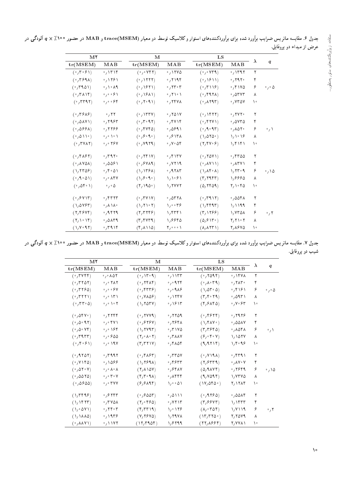| جدول ۶. مقایسه ماتریس ضرایب برآورد شده برای برآوردکنندههای استوار و کلاسیک توسط دو معیار (mace(MSEM و MAB در حضور ° °۱٪ & q ألودگی در |                          |
|---------------------------------------------------------------------------------------------------------------------------------------|--------------------------|
|                                                                                                                                       | عرض از مبداء دو پروفایل. |

| M <sup>Y</sup>                                      |                                              | M                                                            |                                                    | LS                                                         | $\lambda$                                       |    |                            |
|-----------------------------------------------------|----------------------------------------------|--------------------------------------------------------------|----------------------------------------------------|------------------------------------------------------------|-------------------------------------------------|----|----------------------------|
| tr(MSEM)                                            | MAB                                          | tr(MSEM)                                                     | MAB                                                | tr(MSEM)                                                   | MAB                                             |    | $\boldsymbol{q}$           |
| (°, 7°)                                             | $\cdot$ / $\uparrow\uparrow$ / $\uparrow$    | (°/°Vf)                                                      | .1110                                              | (°/°VT4)                                                   | $\cdot$ /۱۳۹۲                                   | ٢  |                            |
| (0,159A)                                            | $\frac{1}{2}$                                | (0,1111)                                                     | $\cdot$ , $\uparrow$ $\uparrow$ $\uparrow$         | (0,1811)                                                   | $\cdot$ , $\gamma$ ۹۲۰                          | ۴  |                            |
| $(°,$ rion)                                         | $\cdot$ / $\cdot$ / 9                        | $(°, \text{1811})$                                           | $\cdot$ , $\mathsf{Y} \mathsf{Y} \cdot \mathsf{Y}$ | $(°, 7 \vee )$                                             | $\cdot$ , $\uparrow$ $\uparrow$ $\vee$ $\circ$  | ۶  | $\cdot$ , $\cdot$ $\Delta$ |
| $(°, r \wedge \wedge r)$                            | $\circ$ , $\circ$ , $\circ$ $\circ$ $\wedge$ | $(0,18\lambda)$                                              | $\cdot$ / $\prime$ / $\cdot$ /                     | (0, 151)                                                   | $\cdot$ , $\circ$ $\circ$ $\circ$               | ٨  |                            |
| (0, 7797)                                           | $\circ$ , $\circ$ , $\circ$ $\circ$ $\circ$  | (0, 1, 1)                                                    | .754                                               | $(0, \lambda Y4T)$                                         | $\cdot$ , $YY$ $\Delta Y$                       | ١٠ |                            |
| $(°, r$ ۶۸۶)                                        | .75                                          | $(0,1$ $\uparrow$ $\uparrow$ $\uparrow$ $\uparrow$           | .701V                                              | $(°, \text{VFT})$                                          | $\cdot$ , $\mathsf{r}\mathsf{v}\mathsf{r}\cdot$ | ٢  |                            |
| $(°, \Delta \Lambda V)$                             | $\cdot$ , $\gamma$ 98 $\gamma$               | (°, 7°, 97)                                                  | $\cdot$ ,۴۷۱۴                                      | $(°,$ f ٢٧١)                                               | $\cdot$ , avra                                  | ۴  |                            |
| (0,088)                                             | $\cdot$ , 1199                               | $(0, \mathfrak{f} \mathsf{V} \mathfrak{f} \mathfrak{d})$     | 0,0991                                             | (0, 1, 1)                                                  | $\cdot$ , $\wedge$ $\wedge$ $\wedge$            | ۶  | $\cdot$ $\wedge$           |
| (0,0)                                               | $\circ$ / $\circ$ / $\circ$ /                | (0, 0, 0)                                                    | $\frac{1}{2}$ , $\frac{1}{2}$                      | $(\lambda/\Delta\Upsilon\Delta\cdot)$                      | 1/1018                                          | ٨  |                            |
| $(°,$ rvar $)$                                      | $\circ$ , $\circ$ $\uparrow$ $\circ$ $\vee$  | (0, V11)                                                     | $\cdot$ , $V \cdot \Delta f$                       | $(Y,YY\cdot Y)$                                            | 1/f1f1                                          | ١۰ |                            |
| $(°, \uparrow \uparrow \uparrow \uparrow \uparrow)$ | $\cdot$ , ۳۹۲ $\cdot$                        | $(°, \uparrow \uparrow \uparrow \uparrow \uparrow \uparrow)$ | $\cdot$ ,۴۱۳۷                                      | (°,70V)                                                    | ۶٬۴۳۵۵                                          | ٢  |                            |
| (0,0.000)                                           | $\frac{1}{2}0091$                            | $(°,$ $9$ V A 9)                                             | .7419                                              | (11Y)                                                      | $\cdot$ , $\wedge$ $\wedge$ $\vee$              | ۴  |                            |
| (1, 110)                                            | $\cdot$ , $\uparrow \cdot \Delta$            | $(\lambda, \lambda$ rs $\lambda)$                            | .47AT                                              | $(\lambda/\lambda f \cdot \lambda)$                        | $1/T$ r $\theta$                                | ۶  | ۰٫۱۵                       |
| (0,100)                                             | $\cdot$ , $\cdot$ $\wedge$ $\wedge$          | $(\lambda, \xi \cdot \xi \cdot)$                             | 1/1.81                                             | $(\Upsilon, \Upsilon \uparrow \Upsilon \uparrow \Upsilon)$ | 1,8880                                          | ٨  |                            |
| (0.050)                                             | $\cdot$ , $\cdot$ $\Delta$                   | $(Y, \text{NAO} \cdot )$                                     | 1,1777                                             | (0, 1601)                                                  | $\mathbf{Y}_1 \setminus \mathbf{Y}_0$           | ۱. |                            |
| (°, 8V)                                             | $\cdot$ , $\uparrow$ $\uparrow$ $\uparrow$   | $(°,$ rv $\vee$                                              | $\cdot$ , or $\tau$                                | (0,7917)                                                   | $\cdot$ ,0041                                   | ٢  |                            |
| $(\lambda, \Delta V \xi \tau)$                      | $\cdot$ / $\wedge$ / $\wedge$ $\cdot$        | $(\lambda, \mathsf{Y}) \cdot \mathsf{Y})$                    | $\lambda_1 \cdots \lambda_r$                       | $(\lambda$ , $\beta$ $\beta$ $\eta$                        | 1/1199                                          | ۴  |                            |
| (Y, Y, Y)                                           | $.4$ ۴۲۹                                     | (Y, YYY)                                                     | 1, 5551                                            | (Y, Y, Y)                                                  | 1/270A                                          | ۶  | $\cdot$ $\prime$           |
| $(Y, \backslash \cdot \backslash f)$                | $\cdot$ , $\circ$ $\wedge$ $\uparrow$ 9      | $(\Upsilon, \Upsilon \vee \Upsilon \wedge \Upsilon)$         | 1,9940                                             | (0, 811)                                                   | Y/YYY                                           | ٨  |                            |
| $(\lambda, V \cdot 9.7)$                            | $\cdot$ , ۳۹۱۴                               | $(f/\lambda)\Delta)$                                         | ۲٫۰۰۰۱                                             | $(\lambda, \lambda \uparrow \uparrow \uparrow)$            | 7,1840                                          | ١۰ |                            |

جدول ۷. مقایسه ماتریس ضرایب براورد شده برای براوردکنندههای استوار و کلاسیک توسط دو معیار (maB و MAB در حضور °°۱٪ × q الودگی در شیب دو پروفایل.

| M٢                                         |                                                  | м                                                                  |                                               | LS                                                          |                                |     |                            |
|--------------------------------------------|--------------------------------------------------|--------------------------------------------------------------------|-----------------------------------------------|-------------------------------------------------------------|--------------------------------|-----|----------------------------|
| tr(MSEM)                                   | MAB                                              | tr(MSEM)                                                           | $\mathbf{M} \mathbf{A} \mathbf{B}$            | tr(MSEM)                                                    | MAB                            | λ   | q                          |
| $(°, \mathsf{rvrf})$                       | $\cdot$ , $\cdot$ $\wedge$ $\wedge$              | (0,10,9)                                                           | $\cdot$ , $\wedge$                            | (0,7099)                                                    | $\cdot$ , ۱۴۷۸                 | ٢   |                            |
| $(°,$ rrar $)$                             | $\cdot$ , $\cdot$ $\uparrow$ $\wedge$ $\uparrow$ | (0, 151)                                                           | $\cdot$ , $\cdot$ 974                         | $(°, \Lambda$ ° (* 1                                        | $\cdot$ , $\mathsf{YAT} \cdot$ | ۴   |                            |
| (0,7790)                                   | $\circ$ , $\circ$ , $\circ$ $\gamma$             | $(0, \mathfrak{p} \mathfrak{p} \mathfrak{p} \mathfrak{p})$         | $\circ$ , $\circ$ 9 $\Lambda$ ۶               | $(\lambda/\Delta \mathbf{r} \cdot \Delta)$                  | $\cdot$ ,۴۱۶۱                  | ۶   | $\cdot$ , $\cdot$ $\Delta$ |
| (0, TTT)                                   | $\cdot$ , $\cdot$ \r \                           | $(°, V \Lambda \Delta \mathcal{F})$                                | $\cdot$ , $\setminus$ $\setminus$ $\setminus$ | $(\Upsilon, \Upsilon, \Upsilon)$                            | $\cdot$ ,095)                  | ٨   |                            |
| $(0, \tau \tau \cdot \Delta)$              | $\circ$ , $\circ$ ) $\circ$ $\uparrow$           | $(\lambda, \text{Y}$ or $\text{Y})$                                | $\cdot$ / $\circ$ / $\uparrow$                | $(Y, Y \wedge Y)$                                           | $\circ$ , $V \circ 54$         | ه ۱ |                            |
| $(°, \Delta f V)$                          | $\cdot$ , ۲۲۴۴                                   | (°, 1VV)                                                           | $\cdot$ , $\mathsf{rr}\mathsf{or}$            | (°, 157)                                                    | $\cdot$ , 1978                 | ٢   |                            |
| (0,0.91)                                   | $\circ$ , $\circ$ f Y \                          | (0, 878V)                                                          | $\cdot$ , 1948                                | $(\lambda, \mathbf{f} \Lambda \mathbf{V})$                  | $\cdot$ ,00 $\lambda$ Y        | ۴   |                            |
| (0,0.19)                                   | $\circ$ , $\circ$ 184                            | $(\lambda, \text{YV1})$                                            | $\cdot$ , $\mathsf{r}$ $\vee$ 0               | $(\mathsf{r}, \mathsf{r}, \mathsf{r})$                      | $\cdot$ , $\wedge$ $\wedge$    | ۶   | $\cdot$ / $\setminus$      |
| (0, 7977)                                  | $\cdot$ , $\cdot$ $\cdot$ 00                     | $(Y, \cdot \wedge \cdot Y)$                                        | $\cdot$ , $\mathsf{r}$ $\wedge\wedge\vee$     | (5, 6, 6, 8)                                                | 1/107Y                         | ٨   |                            |
| (0, 1, 0, 0)                               | $\circ$ , $\circ$ 19 $V$                         | $(T, \mathsf{r} \mathsf{r} \mathsf{v})$                            | $\cdot$ , $\uparrow$ $\wedge$ $\circ$         | (9,9719)                                                    | $1/f \cdot 9.9$                | ۱۰  |                            |
| (0,1101)                                   | $\cdot$ , ۳۹۹۲                                   | $(°, ^{\circ}$ ( $^{\circ}$ / $^{\circ}$ / $^{\circ}$ / $^{\circ}$ | $\cdot$ , $\mathsf{rr}\,\mathsf{ov}$          | $(0, V \setminus A)$                                        | $\cdot$ , 439                  | ٢   |                            |
| $(0, V \setminus \emptyset)$               | $\cdot$ 1088                                     | $(\lambda, \Upsilon$ ۶۹۸)                                          | $\cdot$ , ۴۶۳۳                                | $(Y,$ $557)$                                                | $\cdot$ , $\wedge$ Y $\cdot$ Y | ۴   |                            |
| (0,010V)                                   | $\cdot$ , $\cdot$ A $\cdot$ A                    | $(Y, \Lambda \backslash \Delta V)$                                 | $\cdot$ , $\epsilon$ f av                     | $(0, 9 \text{ AVP})$                                        | $^{\circ}$ , ۲۶۴۹              | ۶   | $\cdot$ , \ $\circ$        |
| (0,0010)                                   | $\circ$ , $\circ$ $\mathsf{r} \circ \mathsf{v}$  | $(\Upsilon, \Upsilon, \Upsilon, \Upsilon)$                         | $\cdot$ , $\wedge$ $\uparrow$ $\uparrow$      | (9,9095)                                                    | 1, 7770                        | ٨   |                            |
| (0,0800)                                   | $\cdot$ , $\cdot$ rvv                            | (9,9)                                                              | $\lambda / \cdot \cdot \Delta \lambda$        | $(1V, \Delta f \Delta \cdot )$                              | 2,1284                         | ه ۱ |                            |
| $(\lambda, \text{TP9})$                    | $\cdot$ , $\gamma$ $\gamma$ $\gamma$ $\gamma$    |                                                                    | ٬٫۵۱۱۱                                        | (°, 9790)                                                   | $\cdot$ ,0014                  | ٢   |                            |
| $(\lambda, \text{VTT})$                    | $\cdot$ ,۳۷۵۸                                    | $(Y, \cdot \nabla S)$                                              | $\cdot$ , $Y$ $Y \setminus Y$                 | $(\mathbf{r}, \mathbf{s} \mathbf{s} \mathbf{v} \mathbf{r})$ | ۱٬۱۴۳۳                         | ۴   |                            |
| $(\lambda \cdot \Delta V)$                 | $\cdot$ , ۲۴ $\cdot$ ۳                           | $(Y, \mathsf{TT})$                                                 | $\mathcal{N}_f \circ \mathcal{N}$             | $(\Lambda, \cdot \Gamma \Delta \Gamma)$                     | 1, 111                         | ۶   | $\cdot$ , ۲                |
| $(\lambda, \lambda \lambda \lambda)$       | $\cdot$ , 19۳۶                                   | (Y, Y,Y)                                                           | 1,794                                         | (1r,rr0)                                                    | 7,7079                         | ٨   |                            |
| $( \cdot , \lambda \lambda \vee \lambda )$ | $\cdot$ , \\YY                                   | (17,790)                                                           | 1,8799                                        | (55,855)                                                    | <b>٢,٧٧٨١</b>                  | ١٠  |                            |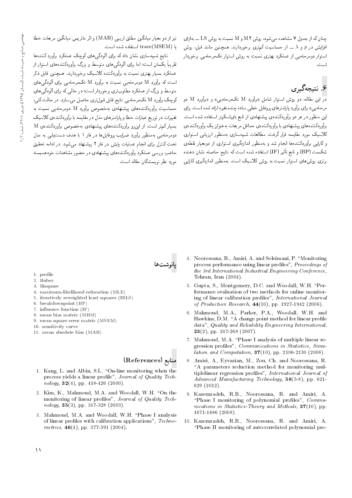$\pm$ جنان که از جدول ۷ مشاهده می شود، روش M و M نسبت به روش LS ـــ بهازای افزایش در p و  $\lambda$  ـــ از حساسیت کم,تری برخوردارند. همچنین مانند قبل، روش استوار دومرحلهیی از عملکرد بهتری نسبت به روش استوار تکمرحلهیی برخوردار است.

# ۶. نتىچەگىرى

در این مقاله، دو روش استوار شامل «برآورد M تکمرحلهیی» و «برآورد M دو مرحله یی» برای برآورد پارامترهای پروفایل خطی ساده چندمتغیره ارائه شده است. برای این منظور در هر دو برآوردکنندهی پیشنهادی از تابع بایاسکوئر استفاده شده است. برآوردكنندههاي پيشنهادي با برآوردكنندهي حداقل مربعات بهعنوان يک برآوردكنندهي <mark>كلاسيک مورد مقايسه قرار گرفت. مطالعات شبي</mark>هسازی بهمنظور ارزياب<sub>ی</sub> استواری و کارایی برآوردکنندهها انجام شد و بهمنظور اندازهگیری استواری از دومعیار نقطهی xOvyO u=Wv xrY=L G}=Dv xm CU= xOW xO=iDU= IF Q}F -=D `@=D w BP CUmW برتری روش های استوار نسبت به روش کلاسیک است. بهمنظور اندازهگیری کارایی

نیز از دو معیار میانگین مطلق اریبی (MAB) و اثر ماتریس میانگین مربعات خطا  $\text{trace(MSEM)}$  أستفاده شده است.

نتایج شبیهسازی نشان دادکه برای آلودگی های کوچک عملکرد برآورد کنندهها تقریباً یکسان است؛ اما برای آلودگی های متوسط و بزرگ برآوردکنندههای استوار از<br>سایر سال عملکرد بسیار بهتری نسبت به برآوردکننده کلاسیک برخوردارند. همچنین قابل ذکر است که برآورد M دومرحلهیی نسبت به برآورد M تکمرحلهیی برای ألودگی های متوسط و بزرگ از عملکرد مطلوبتري برخوردار است؛ در حالي كه براي آلودگي هاي كوچك برآورد M تكمرحلهيى نتايج قابل قبول ترى حاصل مىسازد. در حالت كلى، حساسیت برآوردکنندههای پیشنهادی بهخصوص برآورد M دومرحله بی نسبت به تغییرات در توزیع عبارات خطا و پارامترهای مدل در مقایسه با برآوردکنندهی کلاسیک  ${\rm M}$  بسیار کم تر است. از این $_{\rm u}$  برآوردکننده های پیشنهادی بهخصوص برآوردکننده ${\rm M}$ دومرحلهیی بهمنظور برآورد ضرایب بروفایلها در فاز ۱ با هدف دست یابی به مدل تحت کنترل برای انجام عملیات پایش در فاز ۲ پیشنهاد می شود. در ادامه تحقیق حاضر، بررسی عملکرد برآوردکنندههای پیشنهادی در حضور مشاهدات خودهمبسته مورد نظر نوسندگان مقاله است.

بانوشتها

- 1. profile
- 2. Huber
- 3. Bisquare
- 4. maximum-likelihood estimation (MLE)
- 5. iteratively reweighted least squares (IRLS)
- 6. breakdownpoint (BP)
- 7. in
uence function (IF)
- 8. mean bias matrix (MBM)
- 9. mean square error matrix (MSEM)
- 10. sensitivity curve
- 11. mean absolute bias (MAB)

#### References) منابع

- 1. Kang, L. and Albin, S.L. "On-line monitoring when the process yields a linear profile", Journal of Quality Technology,  $32(4)$ , pp. 418-426 (2000).
- 2. Kim, K., Mahmoud, M.A. and Woodall, W.H. "On the monitoring of linear profiles", Journal of Quality Technology,  $35(3)$ , pp. 317-328 (2003).
- 3. Mahmoud, M.A. and Woodall, W.H. \Phase I analysis of linear profiles with calibration applications", Technometrics,  $46(4)$ , pp. 377-391 (2004).
- 4. Noorossana, R., Amiri, A. and Soleimani, P. "Monitoring process performance using linear profiles", Proceedings of the 3rd International Industrial Engineering Conference, Tehran, Iran (2004).
- 5. Gupta, S., Montgomery, D.C. and Woodall, W.H. \Performance evaluation of two methods for online monitoring of linear calibration profiles", International Journal of Production Research, 44(10), pp. 1927-1942 (2006).
- 6. Mahmoud, M.A., Parker, P.A., Woodall, W.H. and Hawkins, D.M. "A change point method for linear profile data", Quality and Reliability Engineering International,  $23(2)$ , pp. 247-268 (2007).
- 7. Mahmoud, M.A. "Phase I analysis of multiple linear regression profiles", Communications in Statistics, Simulation and Computation, 37(10), pp. 2106-2130 (2008).
- 8. Amiri, A., Eyvazian, M., Zou, Ch. and Noorossana, R. "A parameters reduction method for monitoring multiplelinear regression profiles", International Journal of  $Advanced$  Manufacturing Technology,  $58(5-8)$ , pp. 621-629 (2012).
- 9. Kazemzadeh, R.B., Noorossana, R. and Amiri, A. "Phase I monitoring of polynomial profiles",  $Commu$ nications in Statistics-Theory and Methods,  $37(10)$ , pp. 1671-1686 (2008).
- 10. Kazemzadeh, R.B., Noorossana, R. and Amiri, A. \Phase II monitoring of autocorrelated polynomial pro-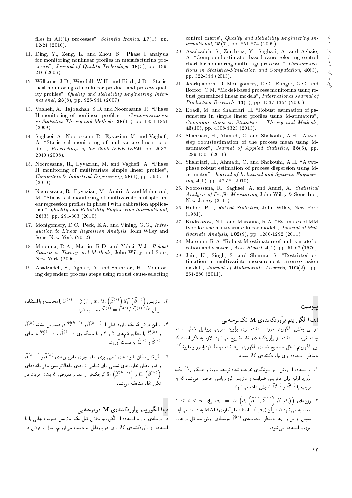files in  $AR(1)$  processes", Scientia Iranica, 17(1), pp. 12-24 (2010).

- 11. Ding, Y., Zeng, L. and Zhou, S. \Phase I analysis for monitoring nonlinear profiles in manufacturing processes", Journal of Quality Technology, 38(3), pp. 199- 216 (2006).
- 12. Williams, J.D., Woodall, W.H. and Birch, J.B. "Statistical monitoring of nonlinear product and process quality profiles", Quality and Reliability Engineering International,  $23(8)$ , pp. 925-941 (2007).
- 13. Vaghefi, A., Tajbakhsh, S.D. and Noorossana, R. "Phase II monitoring of nonlinear profiles",  ${\it Communications}$ in Statistics-Theory and Methods,  $38(11)$ , pp. 1834-1851 (2009).
- 14. Saghaei, A., Noorossana, R., Eyvazian, M. and Vaghe, A. "Statistical monitoring of multivariate linear profiles", Proceedings of the 2008 IEEE IEEM, pp. 2037-2040 (2008).
- 15. Noorossana, R., Eyvazian, M. and Vaghefi, A. "Phase II monitoring of multivariate simple linear profiles", Computers & Industrial Engineering,  $58(4)$ , pp. 563-570  $(2010).$
- 16. Noorossana, R., Eyvazian, M., Amiri, A. and Mahmoud, M. "Statistical monitoring of multivariate multiple linear regression profiles in phase I with calibration application", Quality and Reliability Engineering International,  $26(3)$ , pp. 291-303 (2010).
- 17. Montgomery, D.C., Peck, E.A. and Vining, G.G., Introduction to Linear Regression Analysis, John Wiley and Sons, New York (2012).
- 18. Maronna, R.A., Martin, R.D. and Yohai, V.J., Robust Statistics: Theory and Methods, John Wiley and Sons, New York (2006).
- 19. Asadzadeh, S., Aghaie, A. and Shahriari, H. \Monitoring dependent process steps using robust cause-selecting

xO=iDU= =@ wx@U=Lt =Q C^(1) <sup>=</sup> P<sup>n</sup> i=<sup>1</sup> <sup>w</sup><sup>i</sup>0ub<sup>i</sup> b(1) ub T i b(1) T} QD=t "3 "O}vm x@U=Lt b(1) <sup>=</sup> Cb(1) =jCb(1) <sup>1</sup>=p u; R=

$$
\widehat{\beta}^{(k)}
$$
۰. با ین فرض که یک براورد قبلی از 
$$
\widehat{\beta}^{(k-1)} \circ \widehat{\beta}^{(k-1)}
$$
و ر
$$
\widehat{\Sigma}^{(k-1)} \circ \widehat{\beta}^{(k-1)}
$$
و پا جایگذاری 
$$
\widehat{\beta}^{(k-1)} \circ \widehat{\beta}^{(k-1)}
$$
و پا جایگذاری ( $(\widehat{\Sigma}^{(k)})$ و پا جایگذاری ( $\widehat{\Sigma}^{(k)}$ )

. اگر قدر مطلق تفاوتهای نسبی برای تمام اجزای ماتریس های  $\widehat{\beta}^{(k)}$  و ا $\widehat{\beta}^{(k-1)}$ و قدر مطلق تفاوتهاى نسبى براى تمامى نرمهاى ماهالانوبيس باقىماندههاى کوچک تر از مقدار مفروض 8 باشد، فرایند در  $\widehat{u}_{i}\left(\widehat{\beta}^{(k-1)}\right)$  کوچک تر از مقدار مفروض 8 باشد، فرایند در  $\widehat{\beta}^{(k-1)}$  $k$ تکرار  $k$ ام متوقف می شود.

# ب) الگوريتم برآوردكنندهى M دومرحلهيى

<mark>در</mark> مرحلهى اول با استفاده از الگوريتم بخش قبل يک ماتريس ضرايب نهايى را با استفاده از برآوردکننده $M$  برای هر پروفایل به دست می $\check{\theta}$ وریم. حال با فرض در control charts", Quality and Reliability Engineering International,  $25(7)$ , pp. 851-874 (2009).

- 20. Asadzadeh, S., Zerehsaz, Y., Saghaei, A. and Aghaie, A. "Compound-estimator based cause-selecting control chart for monitoring multistage processes", Communications in Statistics-Simulation and Computation, 40(3), pp. 322-344 (2013).
- 21. Jearkpaporn, D. Montgomery, D.C., Runger, G.C. and Borror, C.M. "Model-based process monitoring using robust generalized linear models", International Journal of *Production Research*,  $43(7)$ , pp. 1337-1354 (2005).
- 22. Ebadi, M. and Shahriari, H. "Robust estimation of parameters in simple linear profiles using M-stimators"  $Communications$  in Statistics  $= Theory$  and Methods, 43(10), pp. 4308-4323 (2013).
- 23. Shahriari, H., Ahmadi, O. and Shokouhi, A.H. "A twostep robustestimation of the process mean using Mestimator", Journal of Applied Statistics, 38(6), pp. 1289-1301 (2011).
- 24. Shahriari, H., Ahmadi, O. and Shokouhi, A.H. "A twophase robust estimation of process dispersion using Mestimator", Journal of Industrial and Systems Engineering,  $4(1)$ , pp. 47-58 (2010).
- 25. Noorossana, R., Saghaei, A. and Amiri, A., Statistical Analysis of Profile Monitoring, John Wiley & Sons, Inc., New Jersey (2011).
- 26. Huber, P.J., Robust Statistics, John Wiley, New York (1981).
- 27. Kudraszow, N.L. and Maronna, R.A. \Estimates of MM type for the multivariate linear model", Journal of Multivariate Analysis,  $102(9)$ , pp. 1280-1292 (2011).
- 28. Maronna, R.A. "Robust M-estimators of multivariate location and scatter", Ann. Statist,  $4(1)$ , pp. 51-67 (1976).
- 29. Jain, K., Singh, S. and Sharma, S. "Restricted estimation in multivariate measurement errorregression model", Journal of Multivariate Analysis, 102(2) , pp. 264-280 (2011).

الف) الگوريتم برآوردكنندهي M تکمرحلهيبي

<mark>در</mark> این بخش الگوریتم مورد استفاده برای برآورد ضرایب پروفایل خطی ساده چندمتغیره با استفاده از برآوردکنندهی  $M$  تشریح میشود. لازم به ذکر است که این الگوریتم شکل تصحیح شدهی الگوریتم ارائه شده توسط کودراسوو و مارونا<sup>[۲۷]</sup><br>باید استانستان مه منظور استفاده برای برآوردکننده ی  $M$  است.

- ۰۱ با استفاده از روش زیر نمونهگیری تعریف شده توسط مارونا و همکاران<sup>[۱۸]</sup> یک<br>به تعداد استفاده است برآورد اولیه برای ماتریس ضرایب و ماتریس کوواریانس حاصل می شود که به ترتیب با  $\widehat{\beta}^{(\cdot)}$  و  $\widehat{\Sigma}^{(\cdot)}$  نمایش داده میشوند.
- $\lambda \leq i \leq n$  وزن های  $\bigvee_{i=1}^n u_i = W\left(d_i\left(\widehat{\beta}^{(\cdot)},\widehat{\Sigma}^{(\cdot)}\right)/\widehat{\sigma}(d_i)\right)$  . ۲ محاسبه می $\hat{\sigma}(d_i)$ ، در اُن  $\widehat{\sigma}(d_i)$  با استفاده از آمارهی MAD به دست می $\Psi$ . سپس از این وزن $a$ ا بهمنظور محاسبه $\widehat{\beta}^{(1)}$  بهوسیلهی روش حداقل مربعات موزون استفاده مے شود.

پيوست